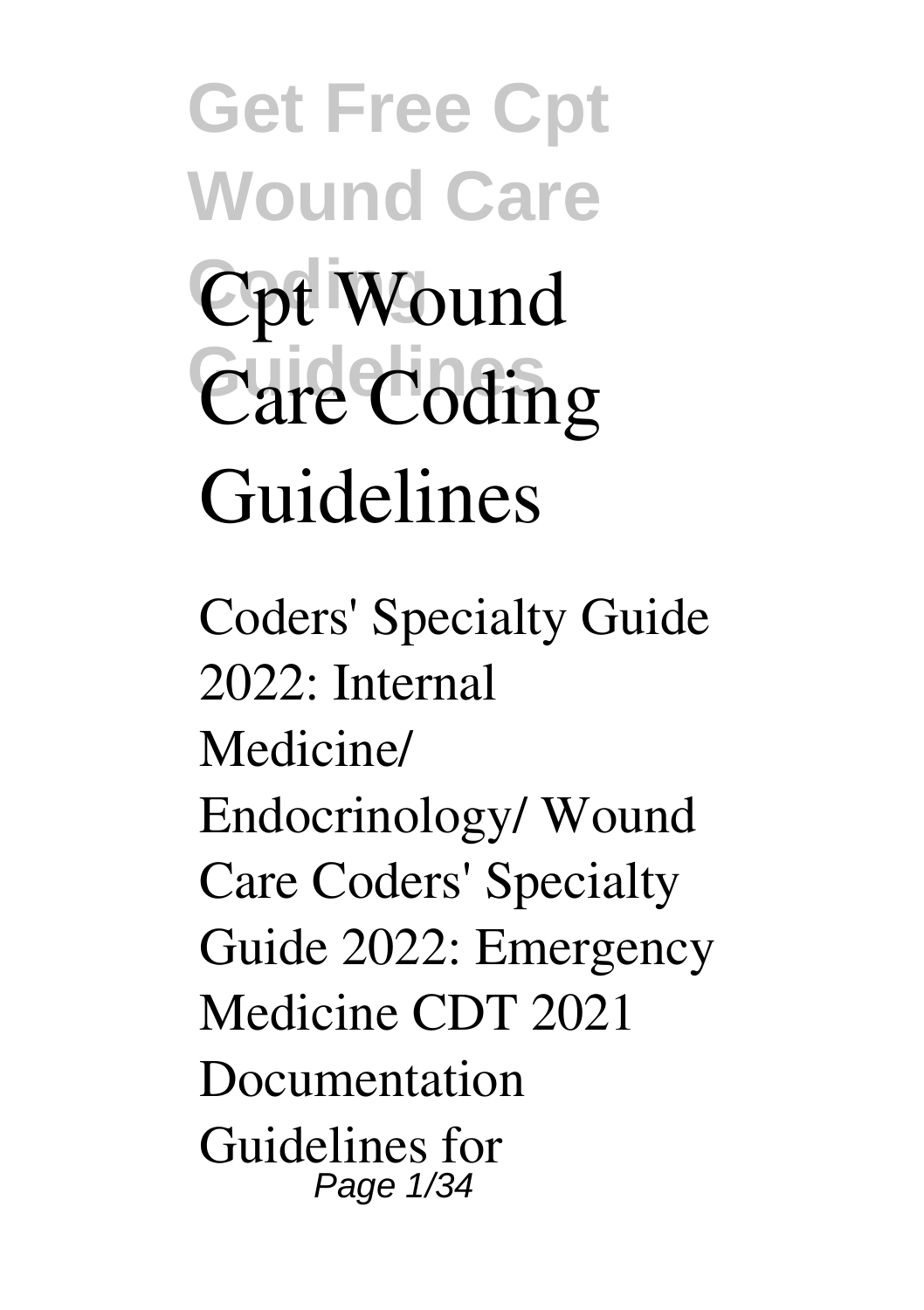**Get Free Cpt Wound Care Cpt Wound**  $\widehat{\text{Care Coding}}$ **Guidelines**

Coders' Specialty Guide 2022: Internal Medicine/ Endocrinology/ Wound Care Coders' Specialty Guide 2022: Emergency Medicine CDT 2021 Documentation Guidelines for Page 1/34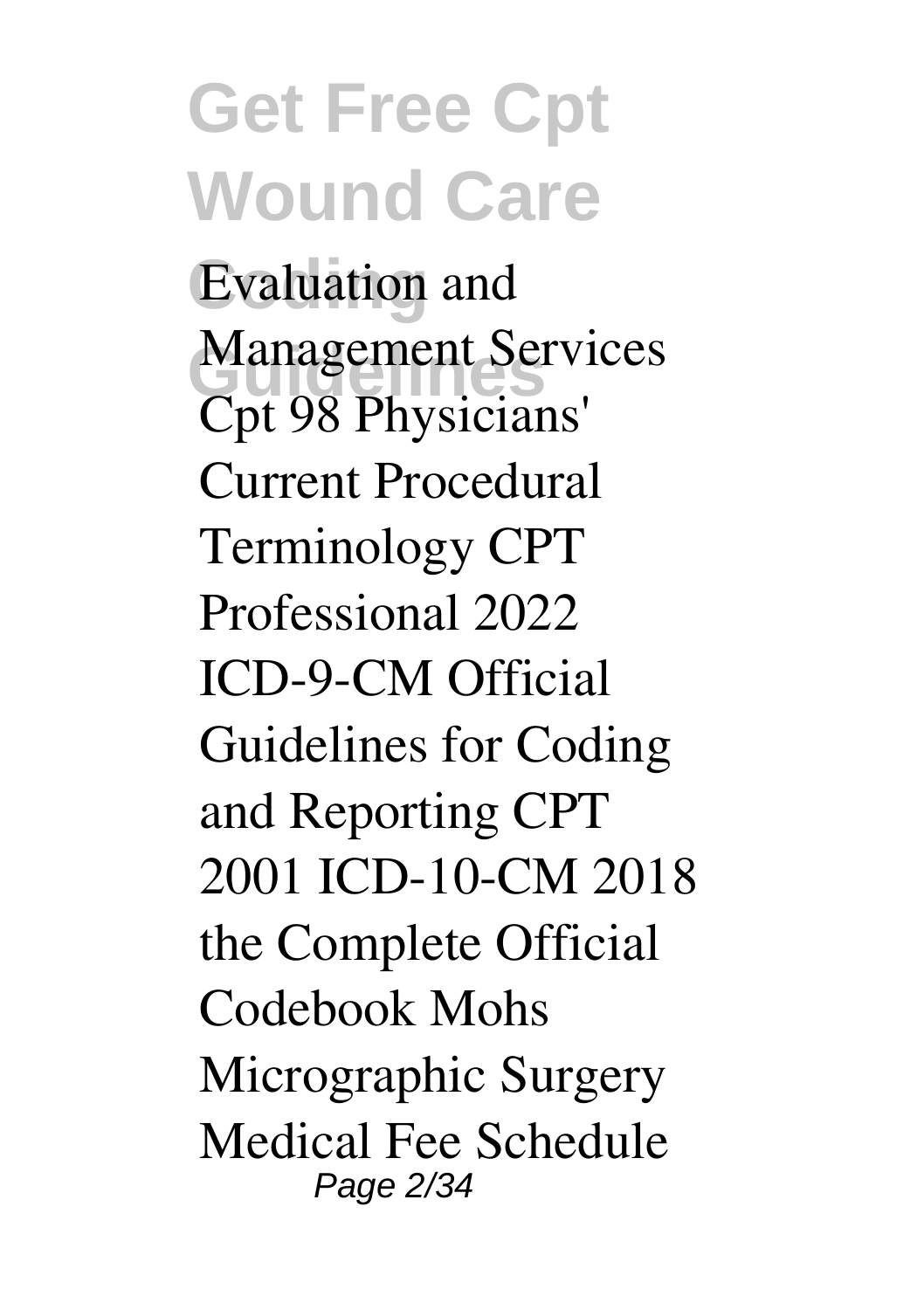#### **Get Free Cpt Wound Care Coding** Evaluation and Management Services<br>
Gut 08 Physicians<sup>1</sup> Cpt 98 Physicians' Current Procedural Terminology CPT Professional 2022 ICD-9-CM Official Guidelines for Coding and Reporting CPT 2001 ICD-10-CM 2018 the Complete Official Codebook Mohs Micrographic Surgery Medical Fee Schedule Page 2/34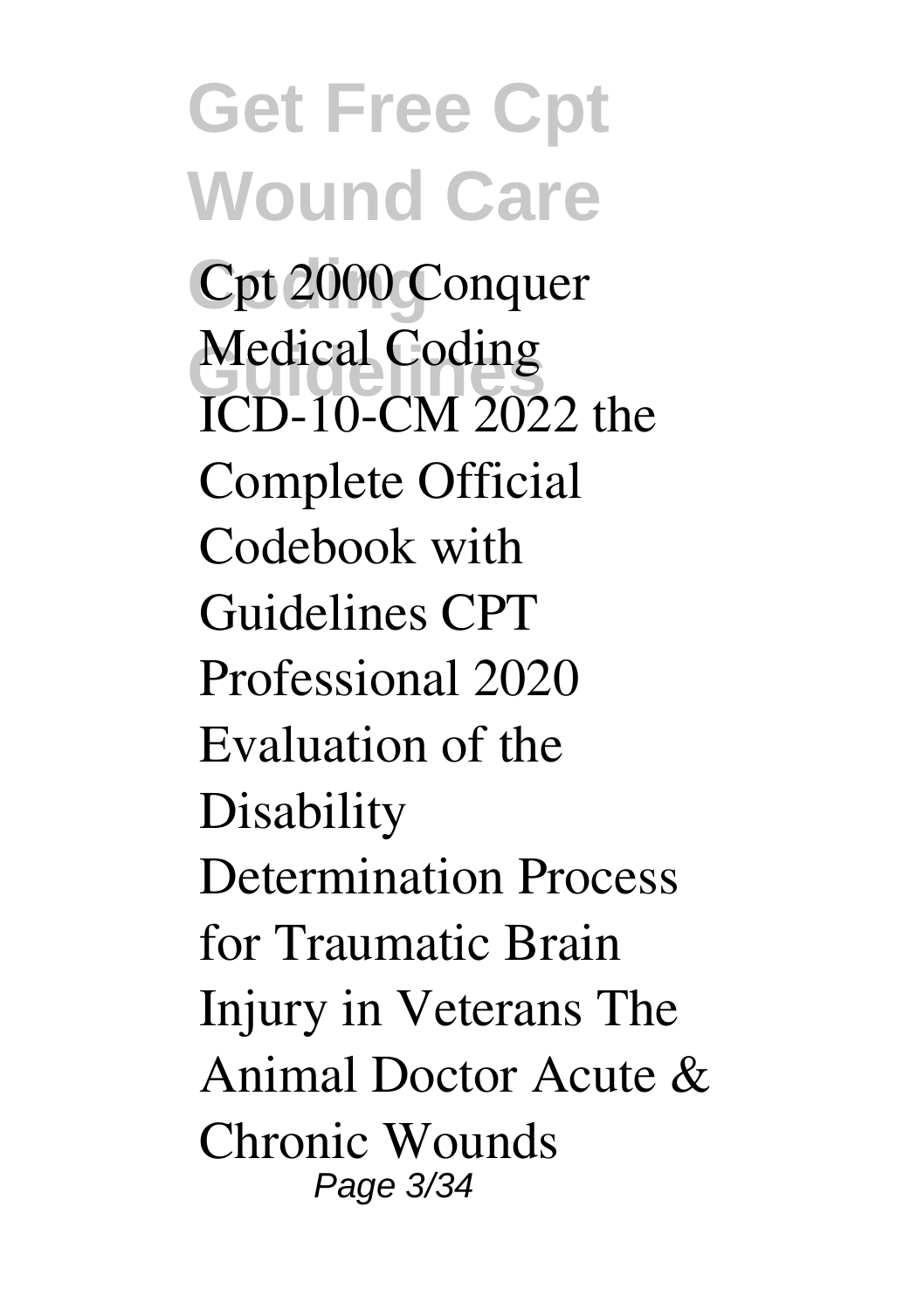**Get Free Cpt Wound Care** Cpt 2000 Conquer Medical Coding<br> **GD** 10 GM 202 ICD-10-CM 2022 the Complete Official Codebook with Guidelines CPT Professional 2020 Evaluation of the **Disability** Determination Process for Traumatic Brain Injury in Veterans The Animal Doctor Acute & Chronic Wounds Page 3/34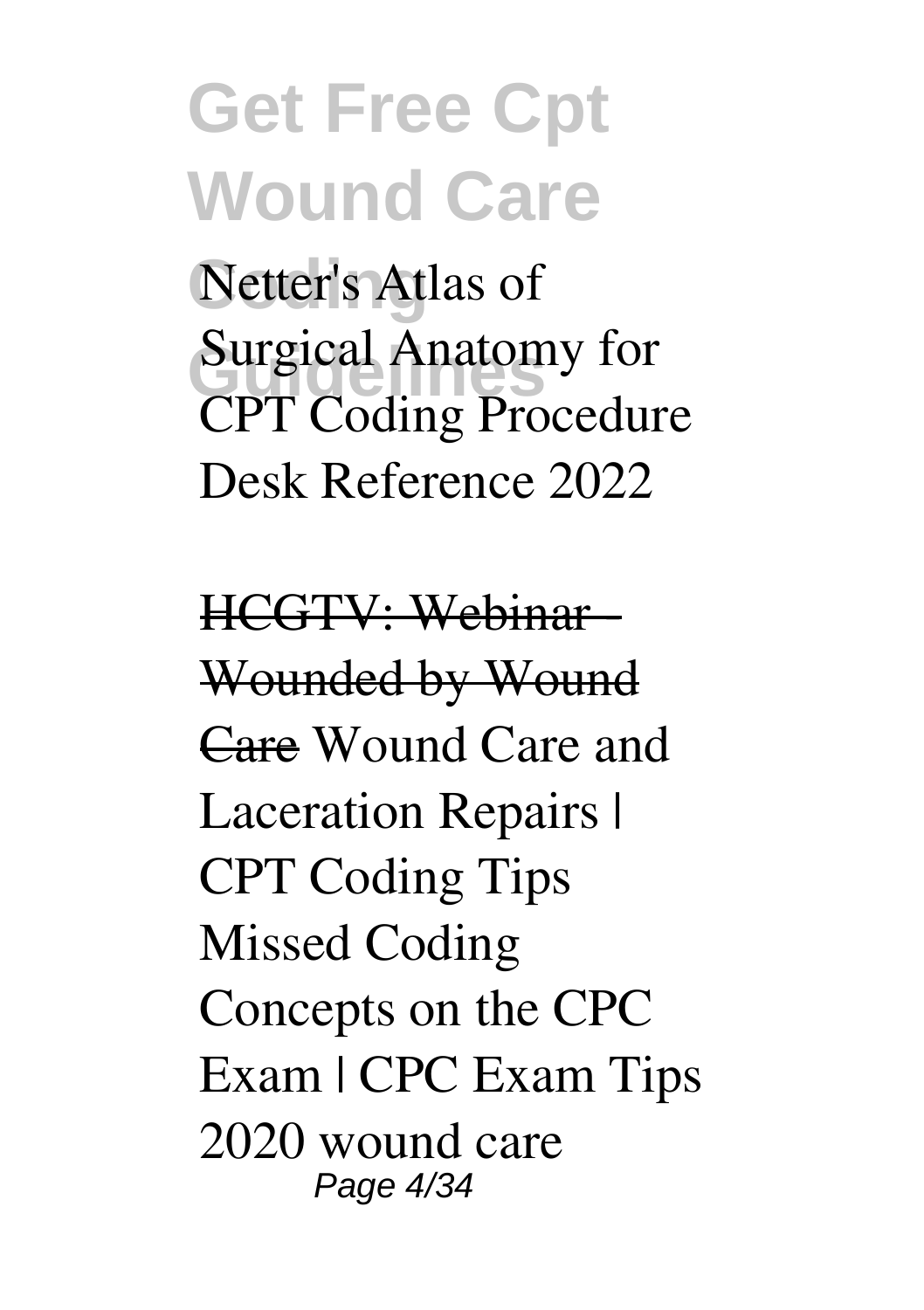**Coding** Netter's Atlas of **Surgical Anatomy for** CPT Coding Procedure Desk Reference 2022

HCGTV: Webinar - Wounded by Wound Care Wound Care and Laceration Repairs | CPT Coding Tips Missed Coding Concepts on the CPC Exam | CPC Exam Tips 2020 **wound care** Page 4/34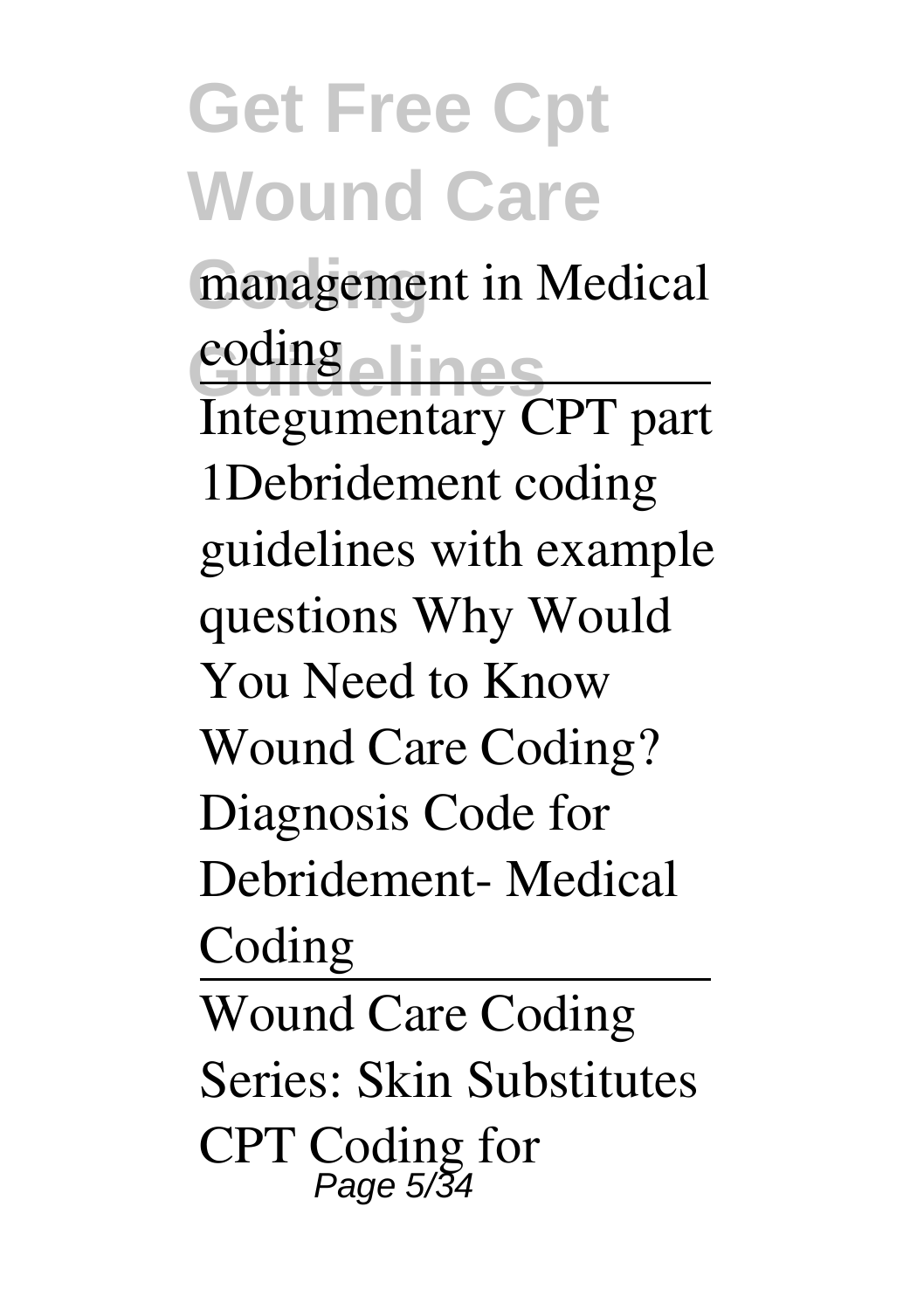**Coding management in Medical Guidelines coding** Integumentary CPT part 1*Debridement coding guidelines with example questions Why Would You Need to Know Wound Care Coding?* **Diagnosis Code for Debridement- Medical Coding** Wound Care Coding Series: Skin Substitutes **CPT Coding for**

Page 5/34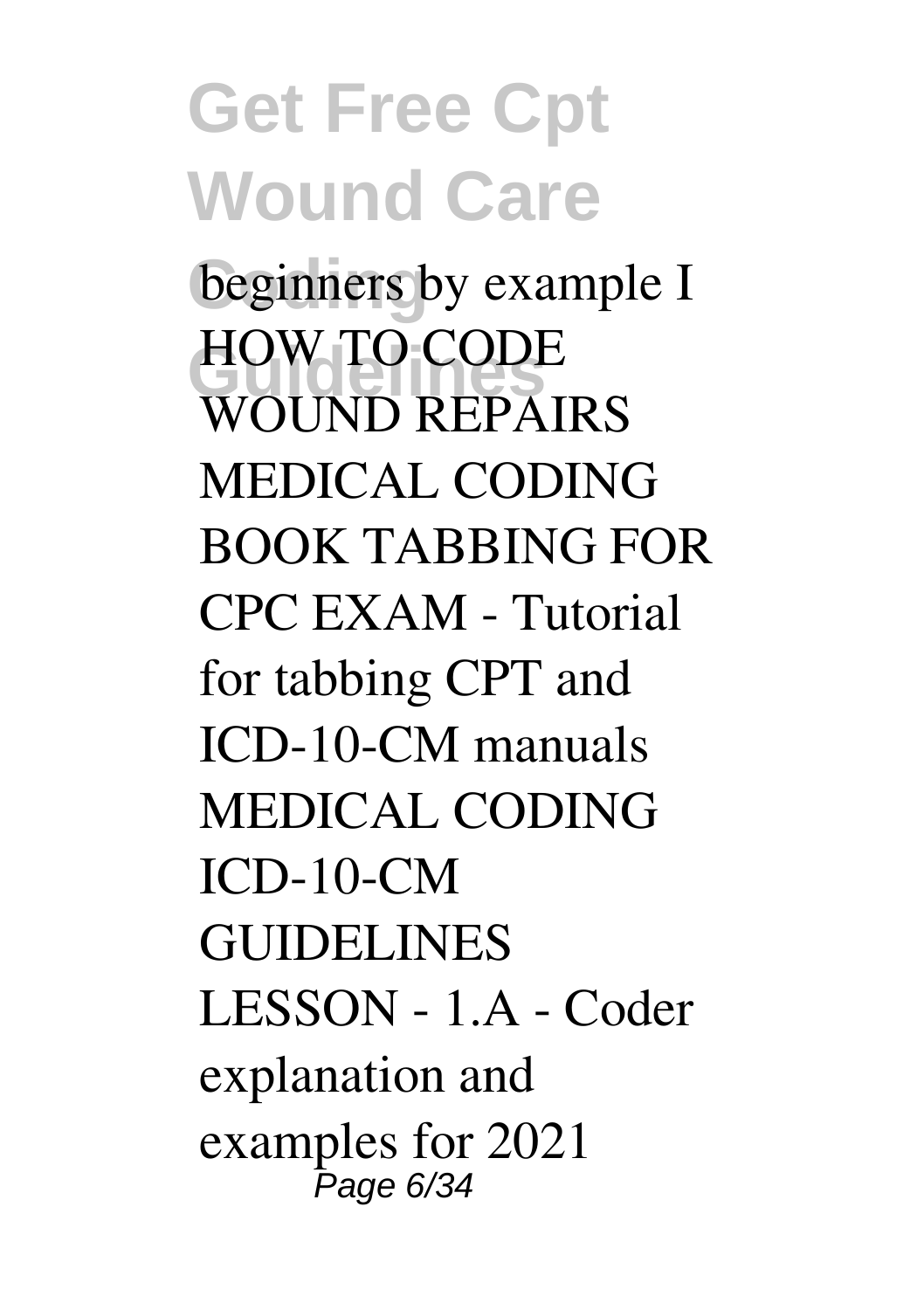**Get Free Cpt Wound Care Coding beginners by example I HOW TO CODE WOUND REPAIRS** *MEDICAL CODING BOOK TABBING FOR CPC EXAM - Tutorial for tabbing CPT and ICD-10-CM manuals* MEDICAL CODING ICD-10-CM GUIDELINES LESSON - 1.A - Coder explanation and examples for 2021 Page 6/34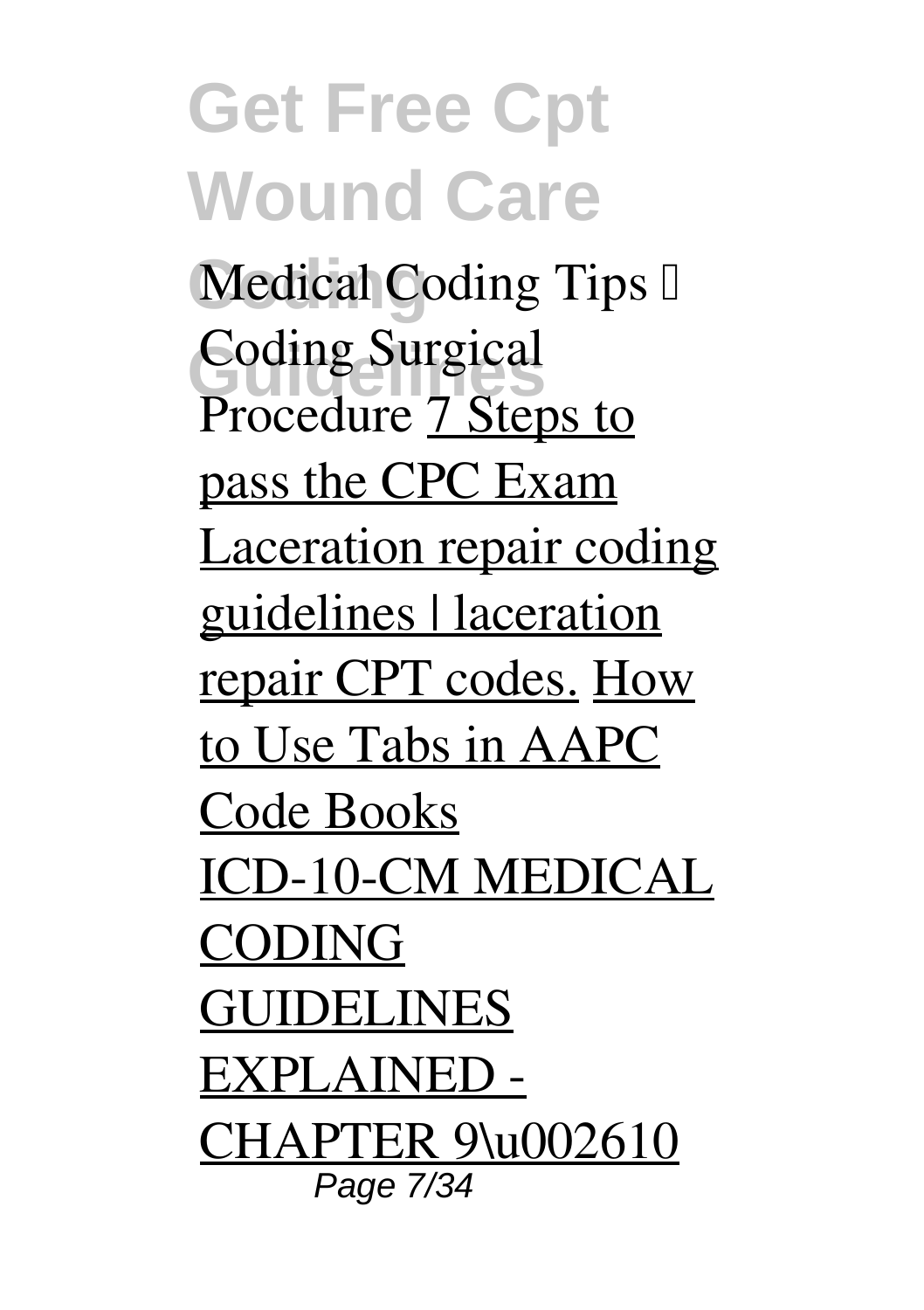**Get Free Cpt Wound Care Medical Coding Tips I Coding Surgical** Procedure 7 Steps to pass the CPC Exam Laceration repair coding guidelines | laceration repair CPT codes. How to Use Tabs in AAPC Code Books ICD-10-CM MEDICAL CODING GUIDELINES EXPLAINED - CHAPTER 9\u002610 Page 7/34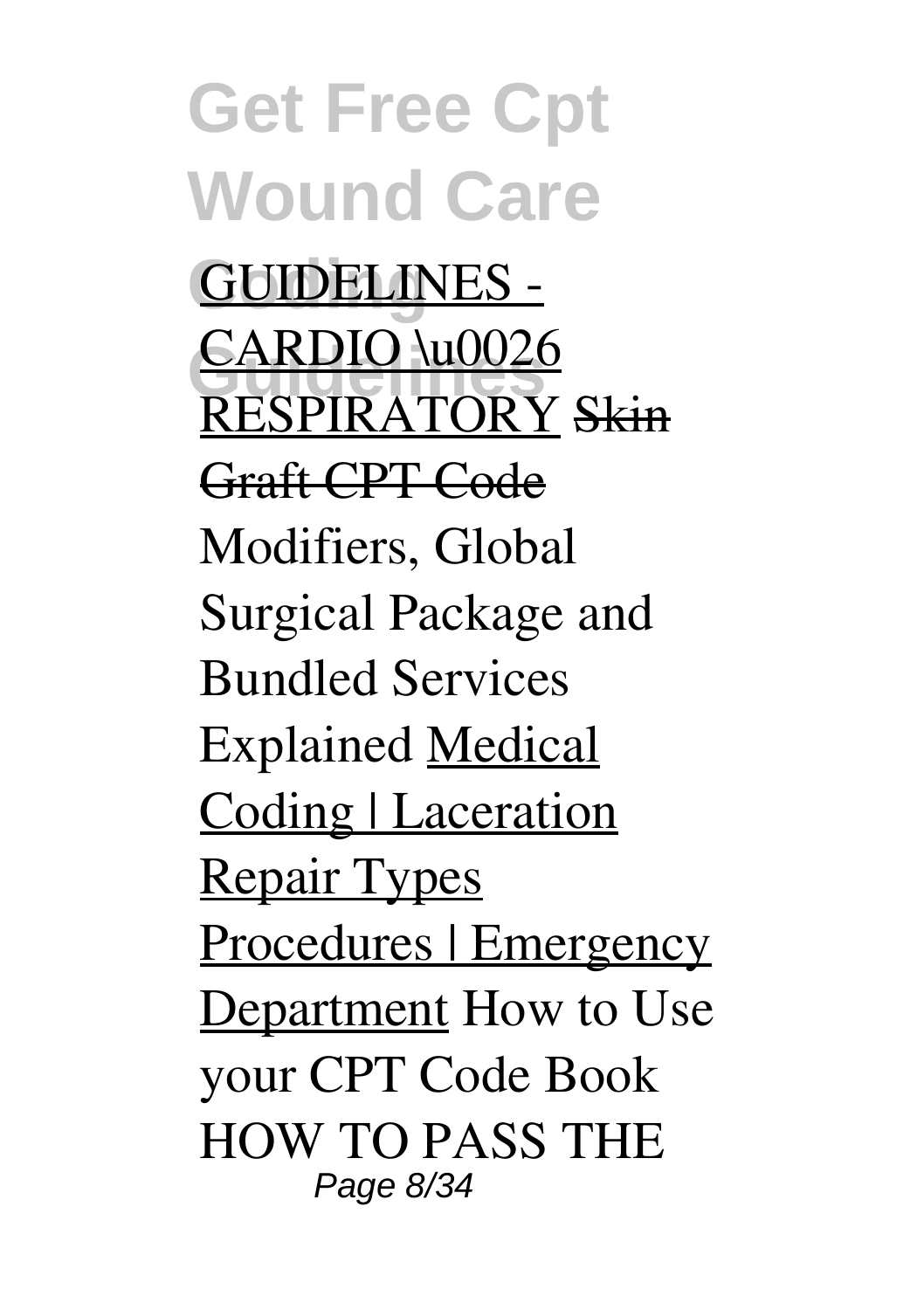**Get Free Cpt Wound Care Coding** GUIDELINES - **CARDIO** \u0026 RESPIRATORY Skin Graft CPT Code **Modifiers, Global Surgical Package and Bundled Services Explained** Medical Coding | Laceration Repair Types Procedures | Emergency Department **How to Use your CPT Code Book HOW TO PASS THE** Page 8/34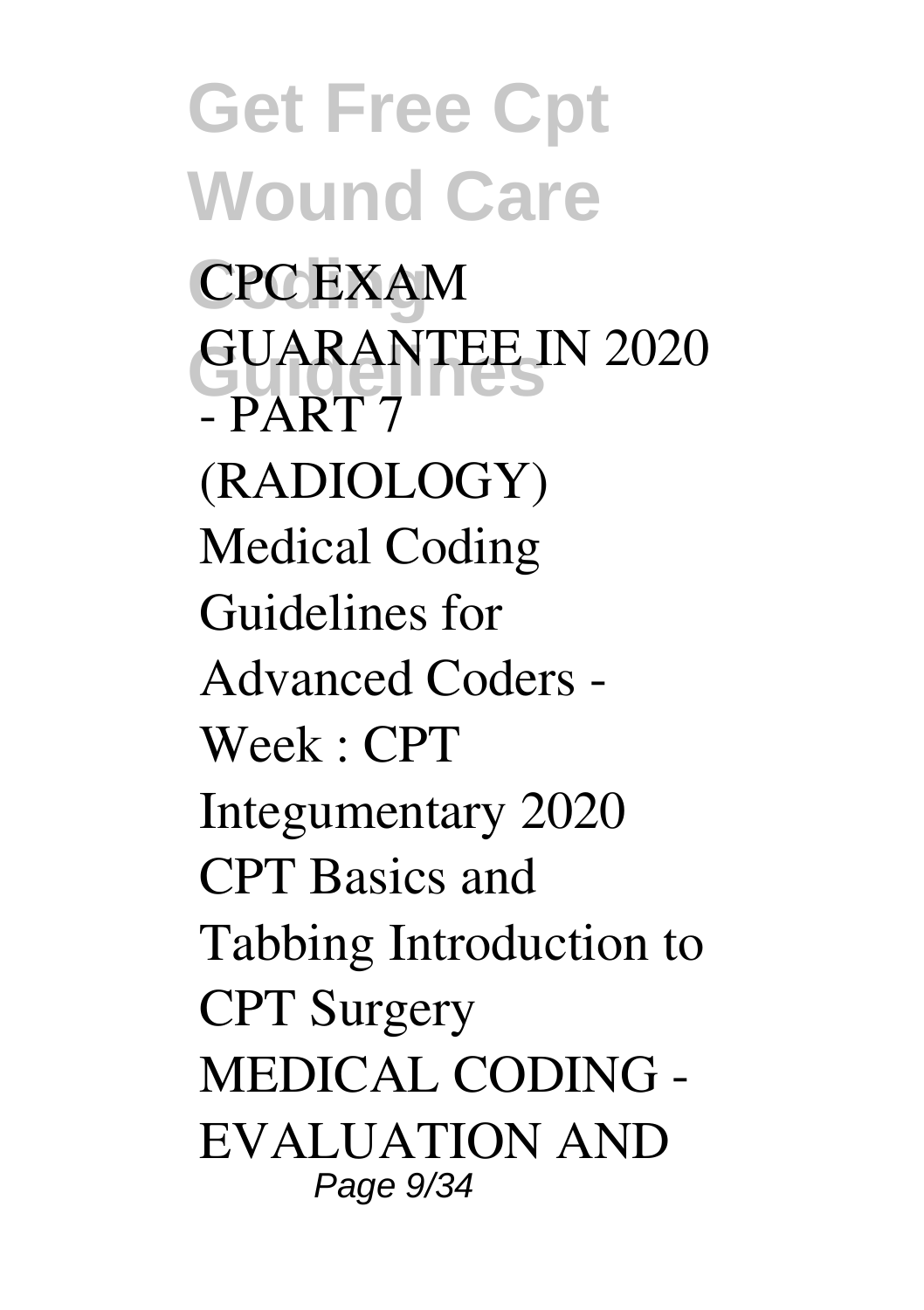**Get Free Cpt Wound Care Coding CPC EXAM GUARANTEE IN 2020 - PART 7 (RADIOLOGY) Medical Coding Guidelines for Advanced Coders - Week : CPT Integumentary** *2020 CPT Basics and Tabbing* **Introduction to CPT Surgery** MEDICAL CODING - EVALUATION AND Page 9/34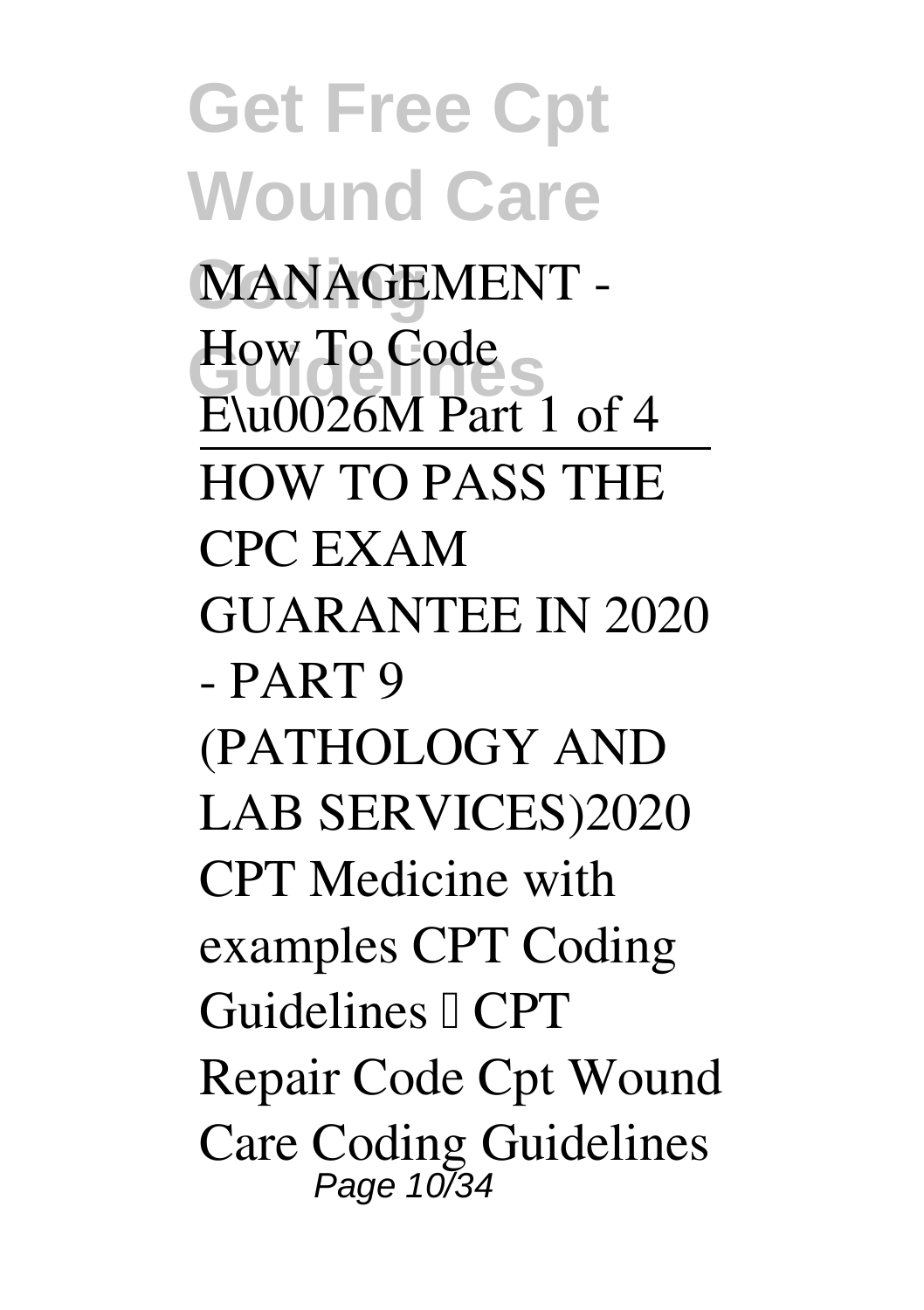**Get Free Cpt Wound Care** MANAGEMENT -**How To Code** E\u0026M Part 1 of 4 HOW TO PASS THE CPC EXAM GUARANTEE IN 2020 - PART 9 (PATHOLOGY AND LAB SERVICES)*2020 CPT Medicine with examples* **CPT Coding Guidelines | CPT Repair Code Cpt Wound Care Coding Guidelines** Page 10/34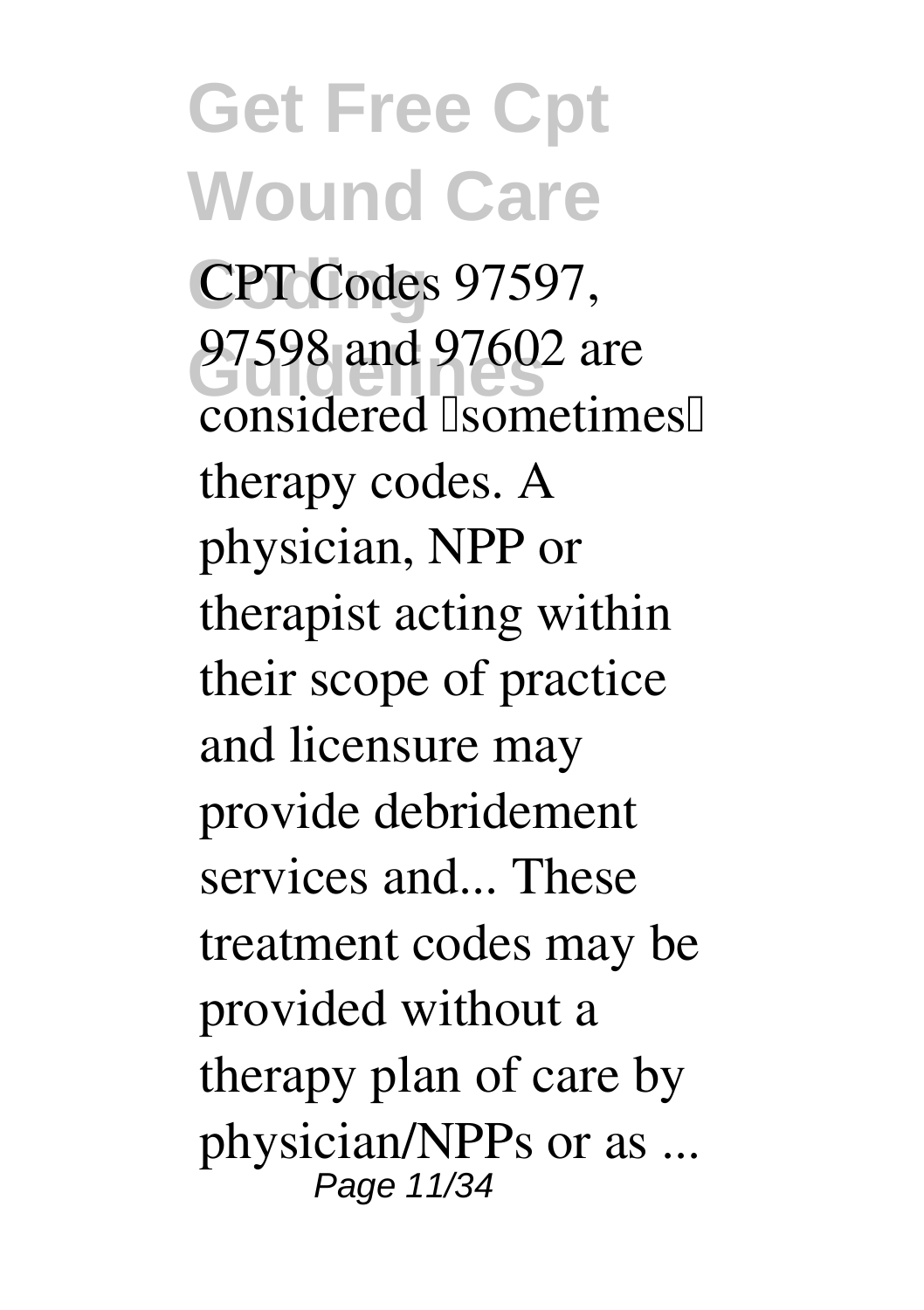**Get Free Cpt Wound Care Coding** CPT Codes 97597, **Guidelines** 97598 and 97602 are considered **Isometimes** therapy codes. A physician, NPP or therapist acting within their scope of practice and licensure may provide debridement services and... These treatment codes may be provided without a therapy plan of care by physician/NPPs or as ... Page 11/34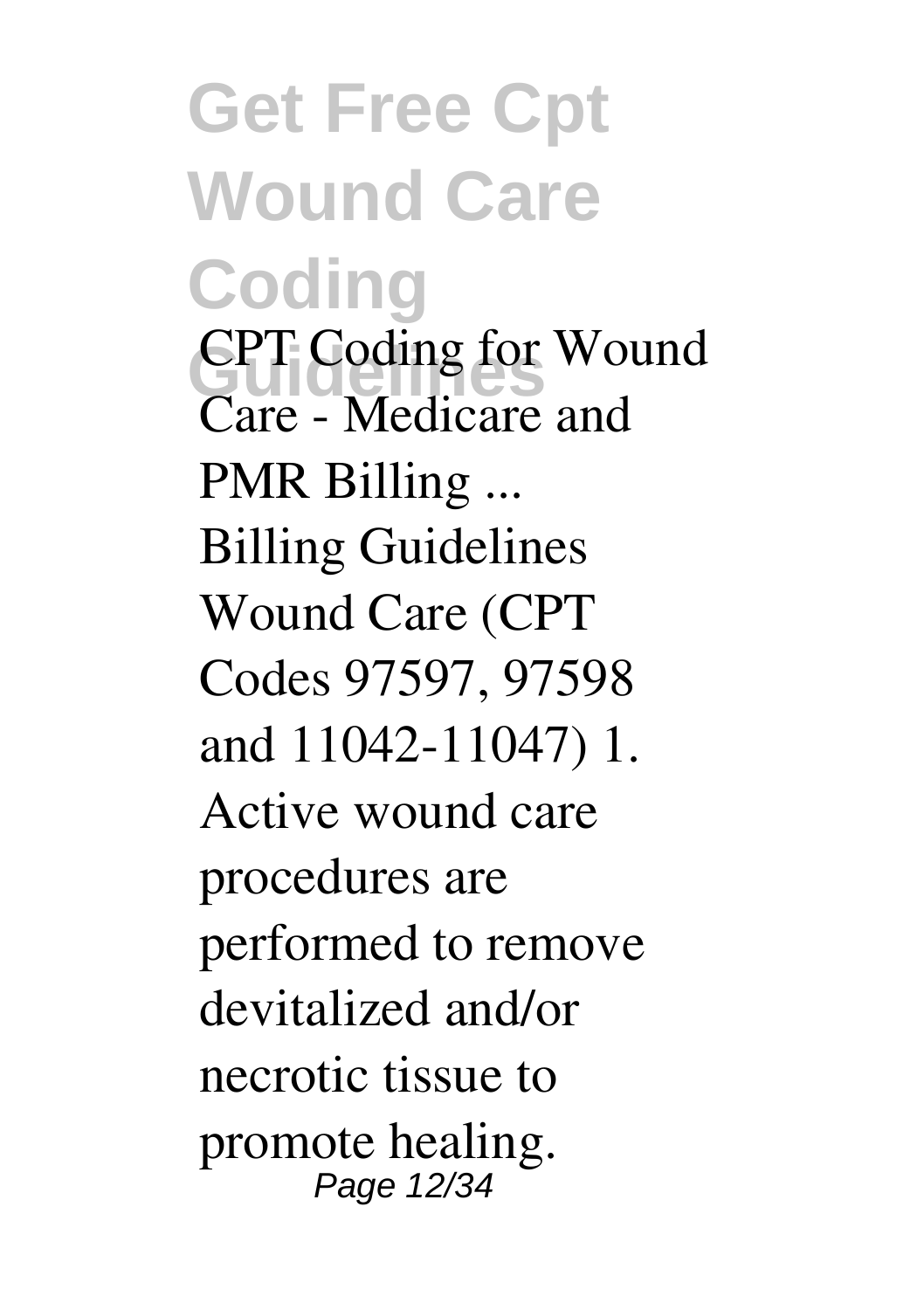**Get Free Cpt Wound Care Coding GPT** Coding for Wound **Care - Medicare and PMR Billing ...** Billing Guidelines Wound Care (CPT Codes 97597, 97598 and 11042-11047) 1. Active wound care procedures are performed to remove devitalized and/or necrotic tissue to promote healing. Page 12/34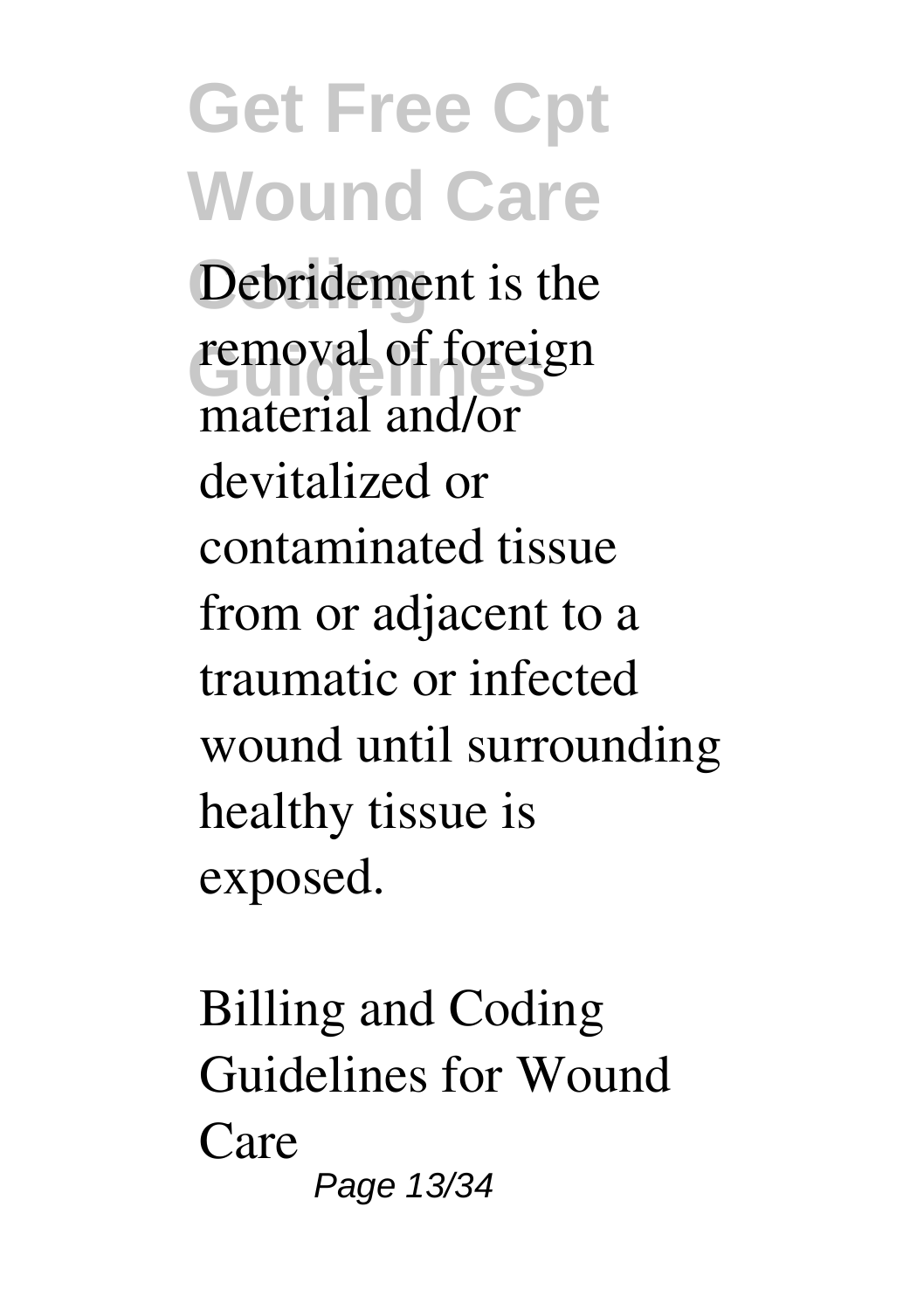Debridement is the removal of foreign material and/or devitalized or contaminated tissue from or adjacent to a traumatic or infected wound until surrounding healthy tissue is exposed.

**Billing and Coding Guidelines for Wound Care** Page 13/34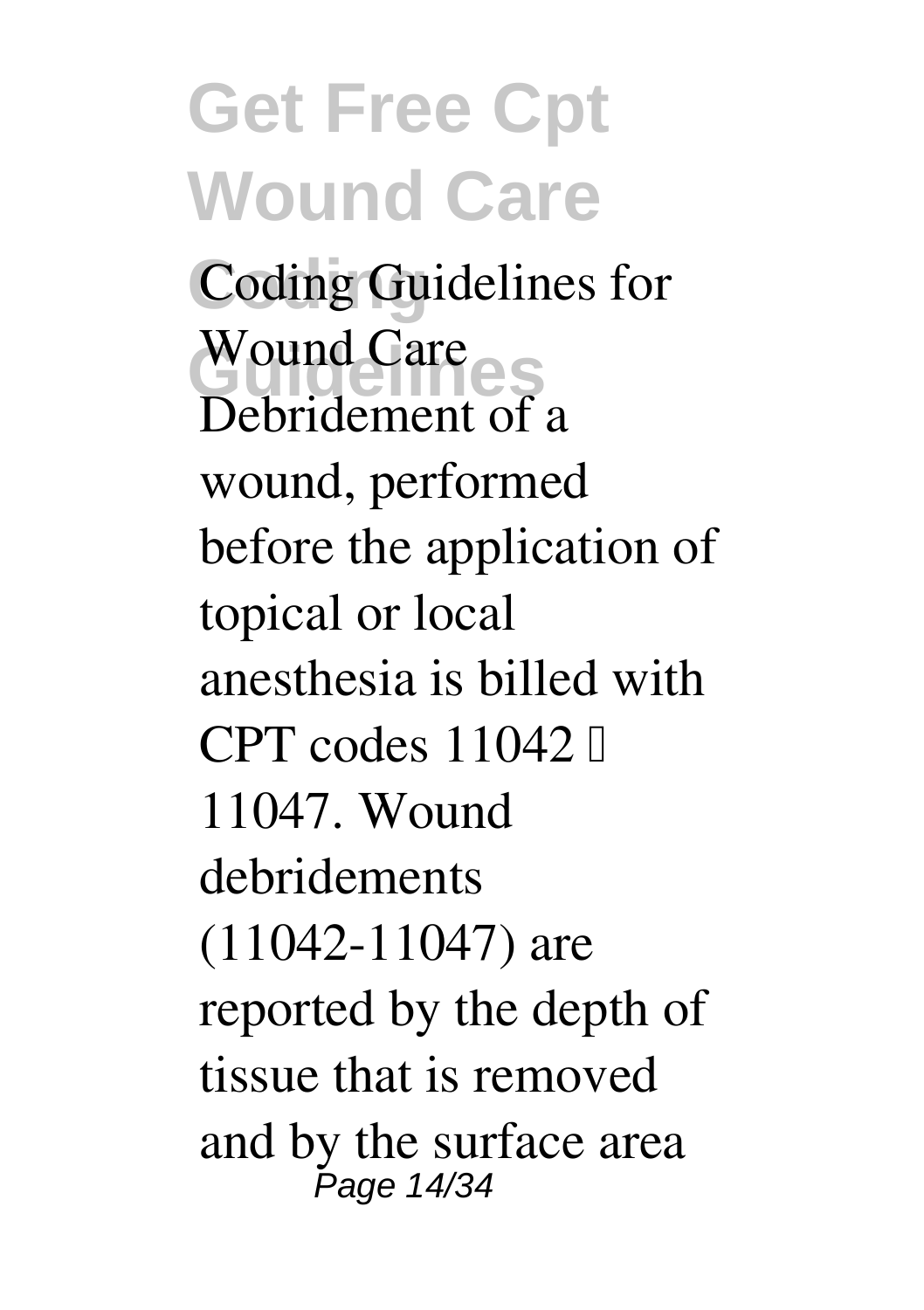#### **Get Free Cpt Wound Care Coding** Coding Guidelines for Wound Care<br>Rebuildement of Debridement of a wound, performed before the application of topical or local anesthesia is billed with CPT codes  $11042$   $\Box$ 11047. Wound debridements (11042-11047) are reported by the depth of tissue that is removed and by the surface area Page 14/34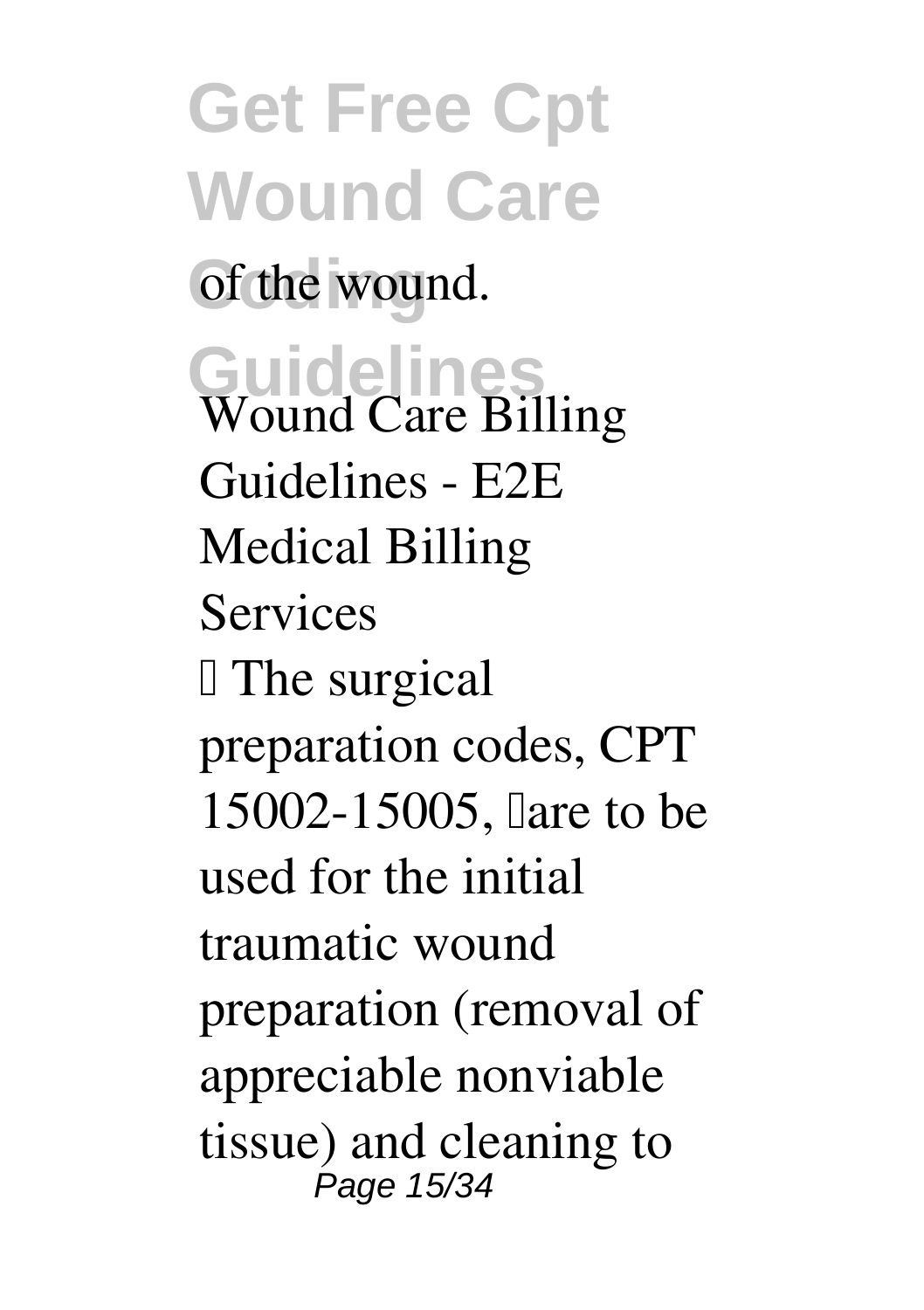**Get Free Cpt Wound Care** of the wound. **Guidelines Wound Care Billing Guidelines - E2E Medical Billing Services** I The surgical preparation codes, CPT 15002-15005, lare to be used for the initial traumatic wound preparation (removal of appreciable nonviable tissue) and cleaning to Page 15/34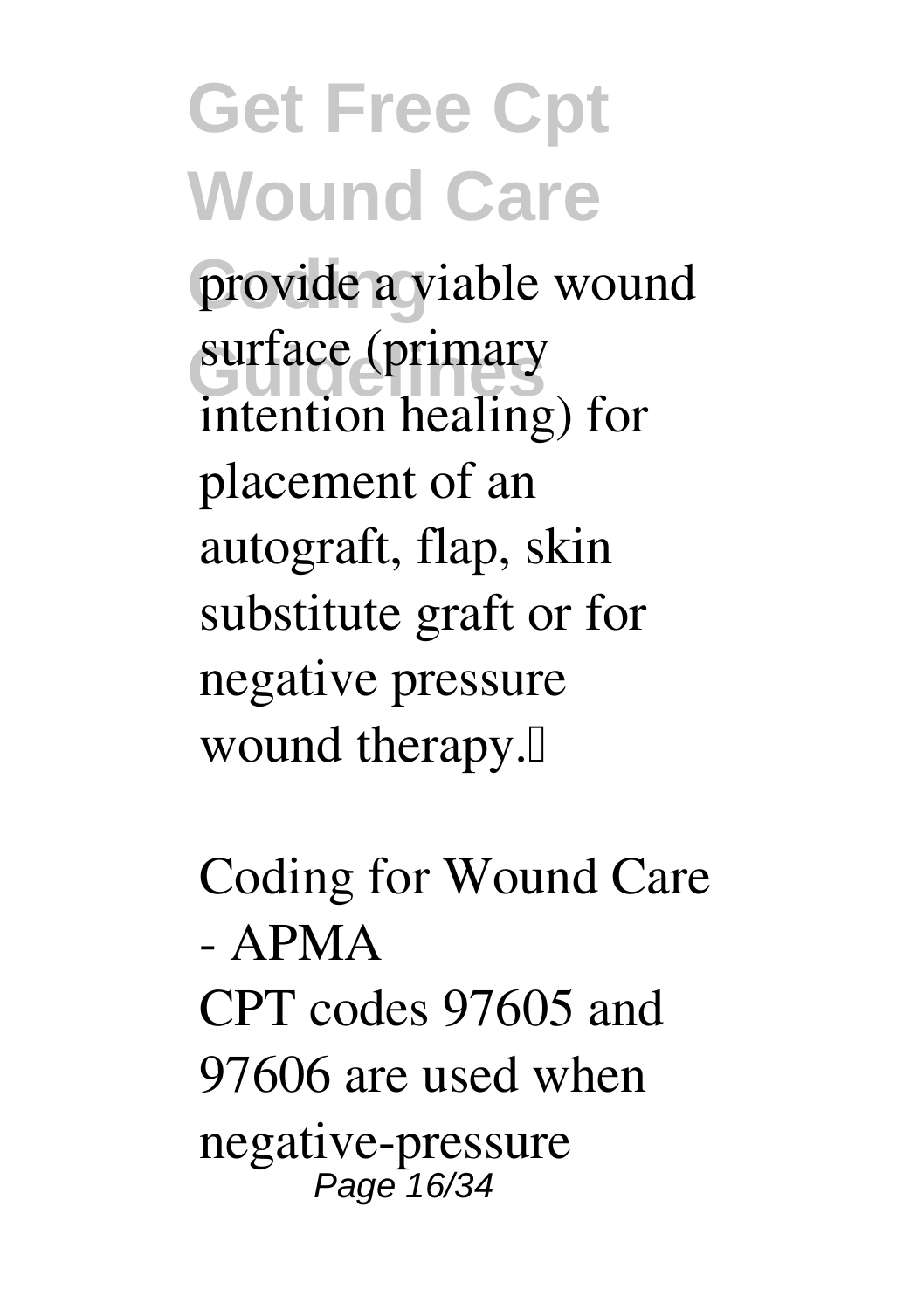provide a viable wound surface (primary intention healing) for placement of an autograft, flap, skin substitute graft or for negative pressure wound therapy.<sup>[]</sup>

**Coding for Wound Care - APMA** CPT codes 97605 and 97606 are used when negative-pressure Page 16/34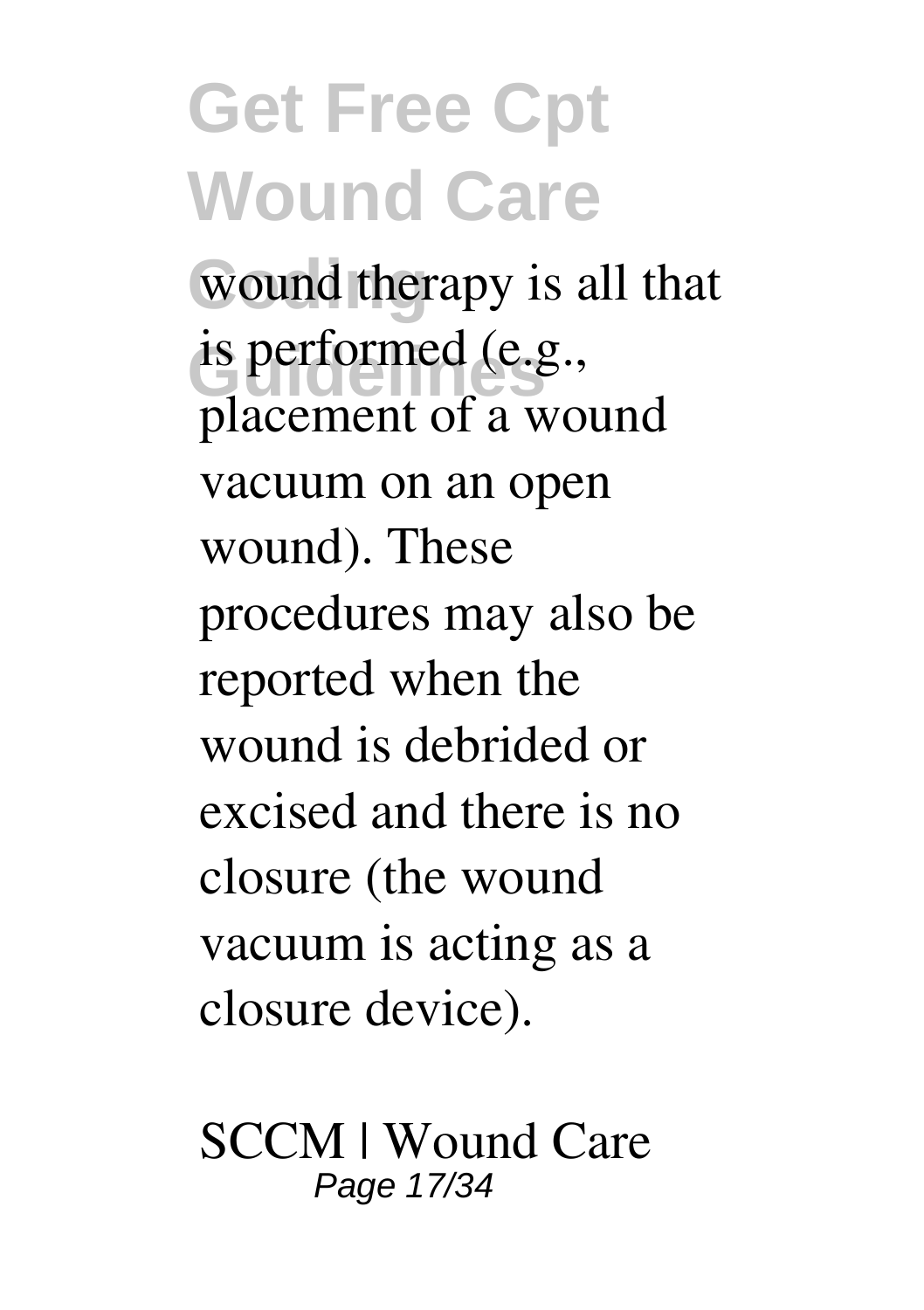wound therapy is all that is performed (e.g., placement of a wound vacuum on an open wound). These procedures may also be reported when the wound is debrided or excised and there is no closure (the wound vacuum is acting as a closure device).

**SCCM | Wound Care** Page 17/34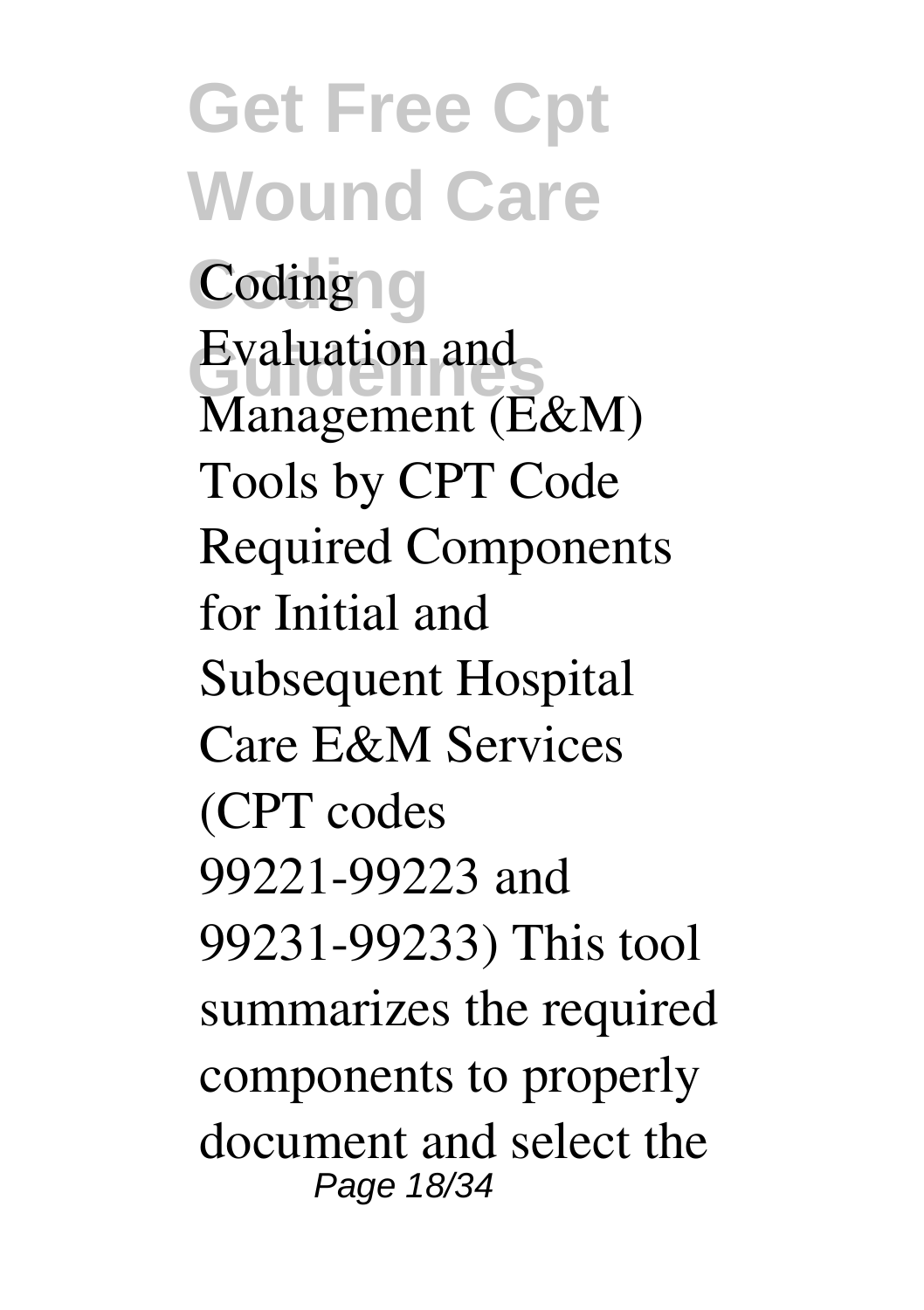**Get Free Cpt Wound Care Coding Coding** Evaluation and<br>
Management (F Management (E&M) Tools by CPT Code Required Components for Initial and Subsequent Hospital Care E&M Services (CPT codes 99221-99223 and 99231-99233) This tool summarizes the required components to properly document and select the Page 18/34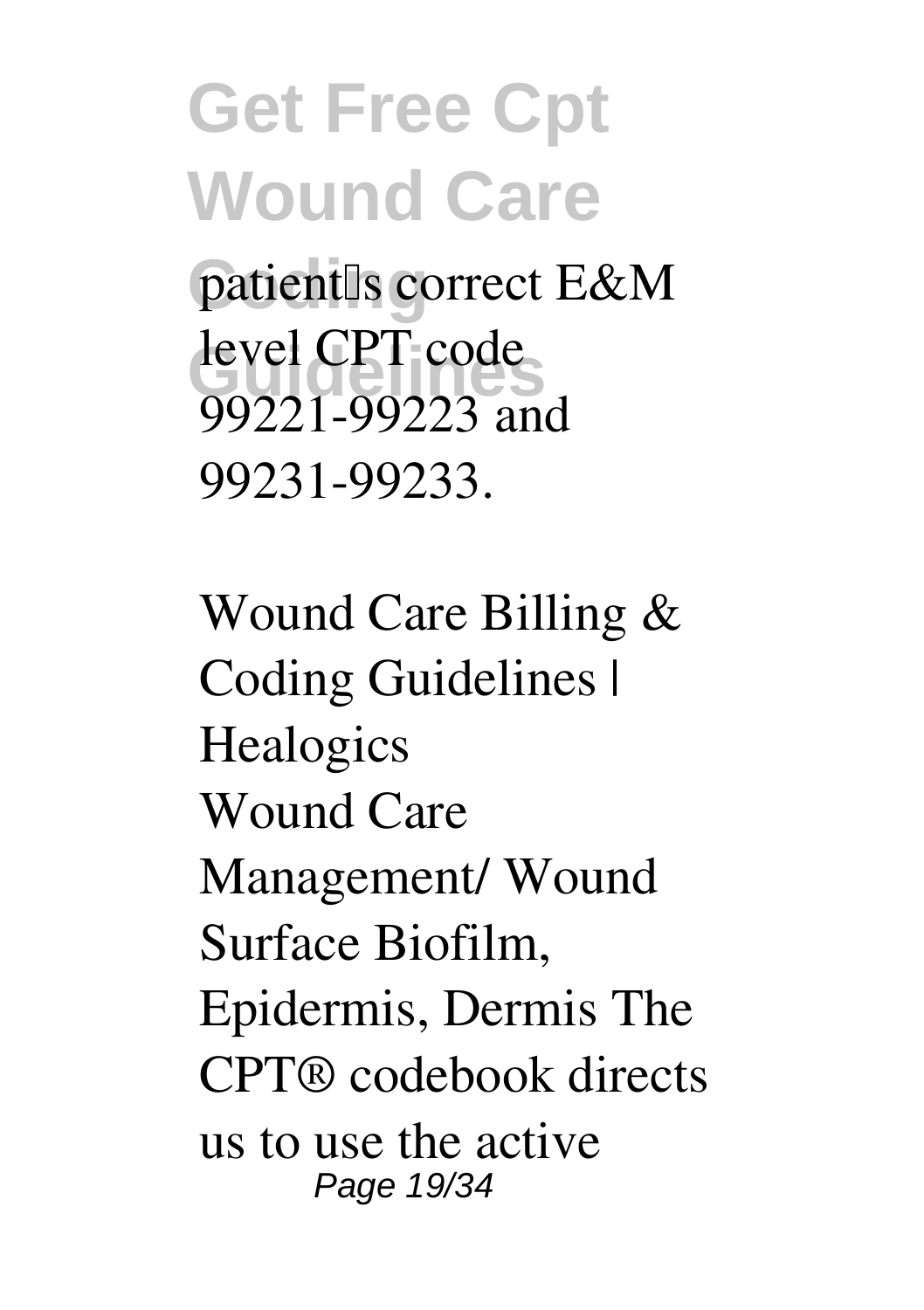**Get Free Cpt Wound Care** patient<sup>[</sup>s correct E&M level CPT code 99221-99223 and 99231-99233.

**Wound Care Billing & Coding Guidelines | Healogics** Wound Care Management/ Wound Surface Biofilm, Epidermis, Dermis The CPT® codebook directs us to use the active Page 19/34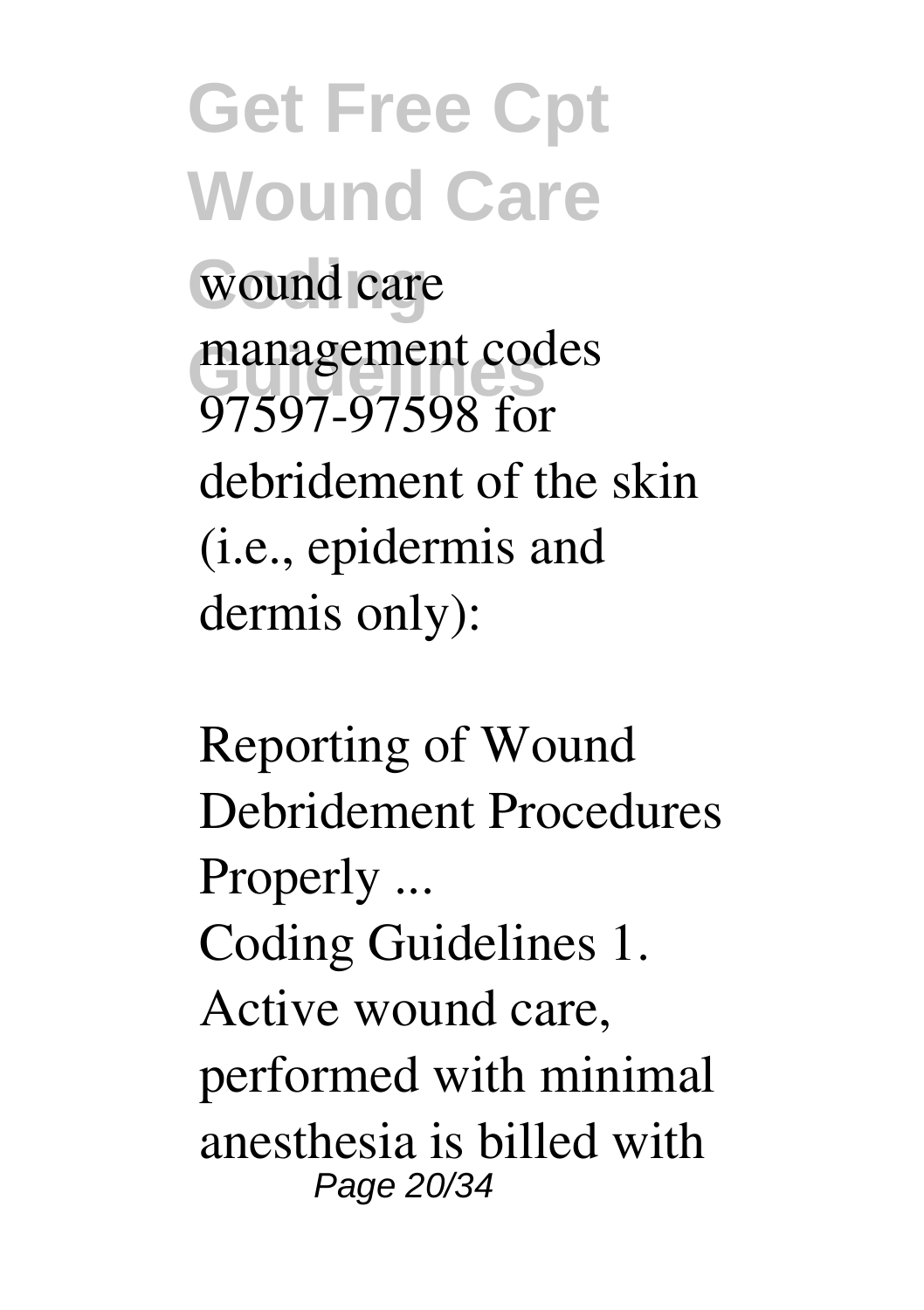**Get Free Cpt Wound Care** wound care management codes<br>
07507.07508.fsr 97597-97598 for debridement of the skin (i.e., epidermis and dermis only):

**Reporting of Wound Debridement Procedures Properly ...** Coding Guidelines 1. Active wound care, performed with minimal anesthesia is billed with Page 20/34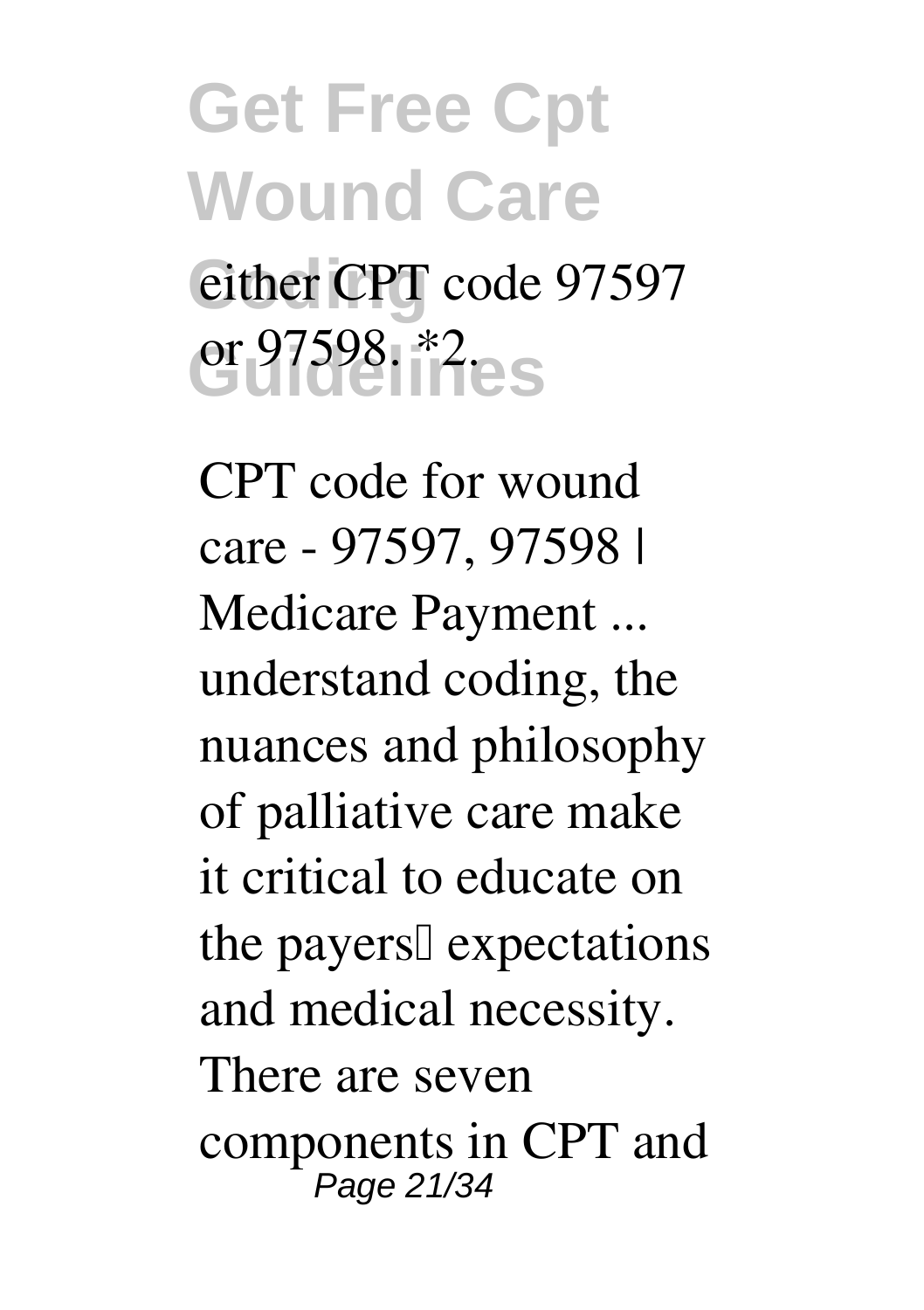### **Get Free Cpt Wound Care** either CPT code 97597 **Guidelines** or 97598. \*2.

**CPT code for wound care - 97597, 97598 | Medicare Payment ...** understand coding, the nuances and philosophy of palliative care make it critical to educate on the payers<sup>[]</sup> expectations and medical necessity. There are seven components in CPT and Page 21/34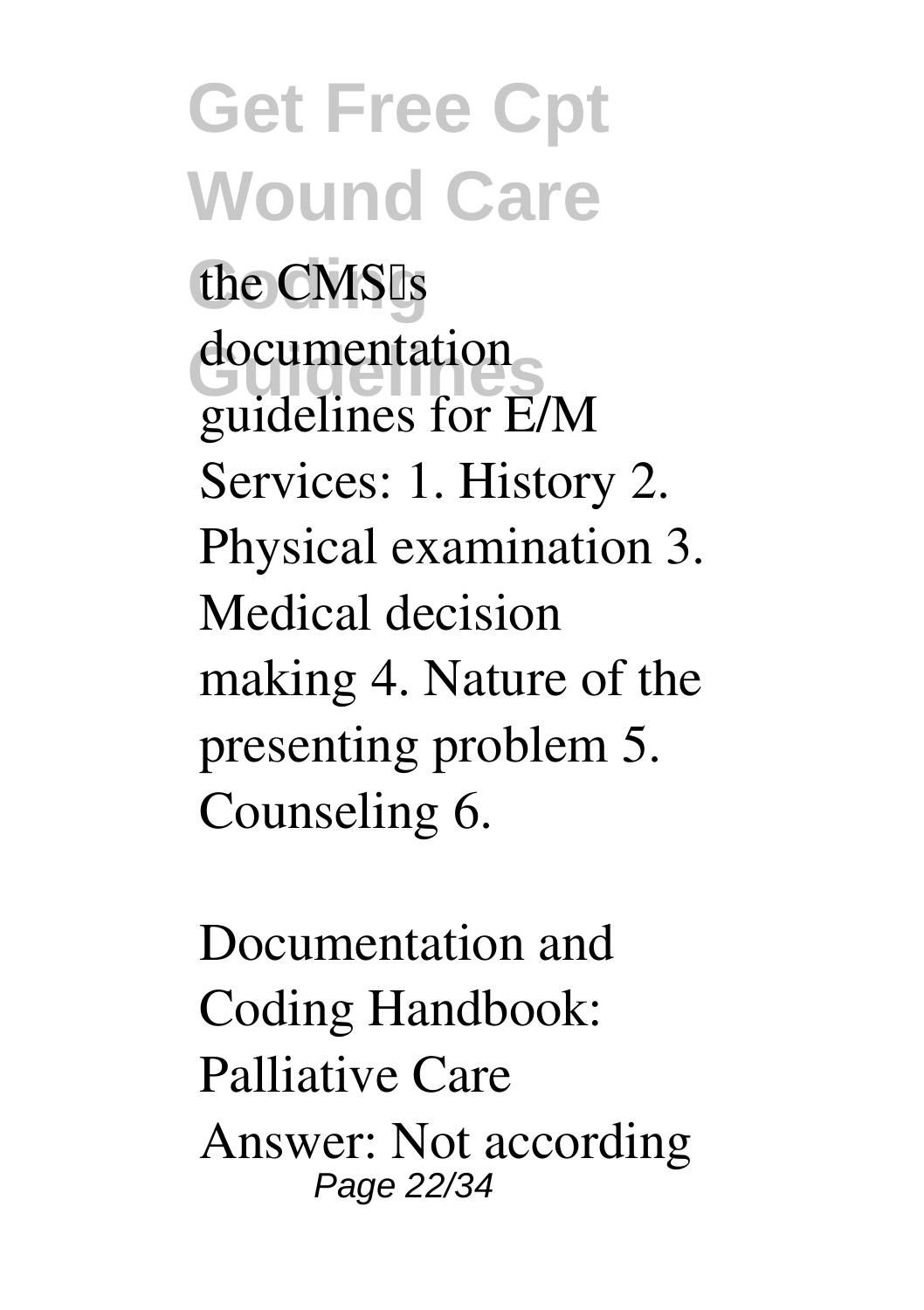**Get Free Cpt Wound Care** the CMS<sup>Is</sup> **Guidelines** documentation guidelines for E/M Services: 1. History 2. Physical examination 3. Medical decision making 4. Nature of the presenting problem 5. Counseling 6.

**Documentation and Coding Handbook: Palliative Care** Answer: Not according Page 22/34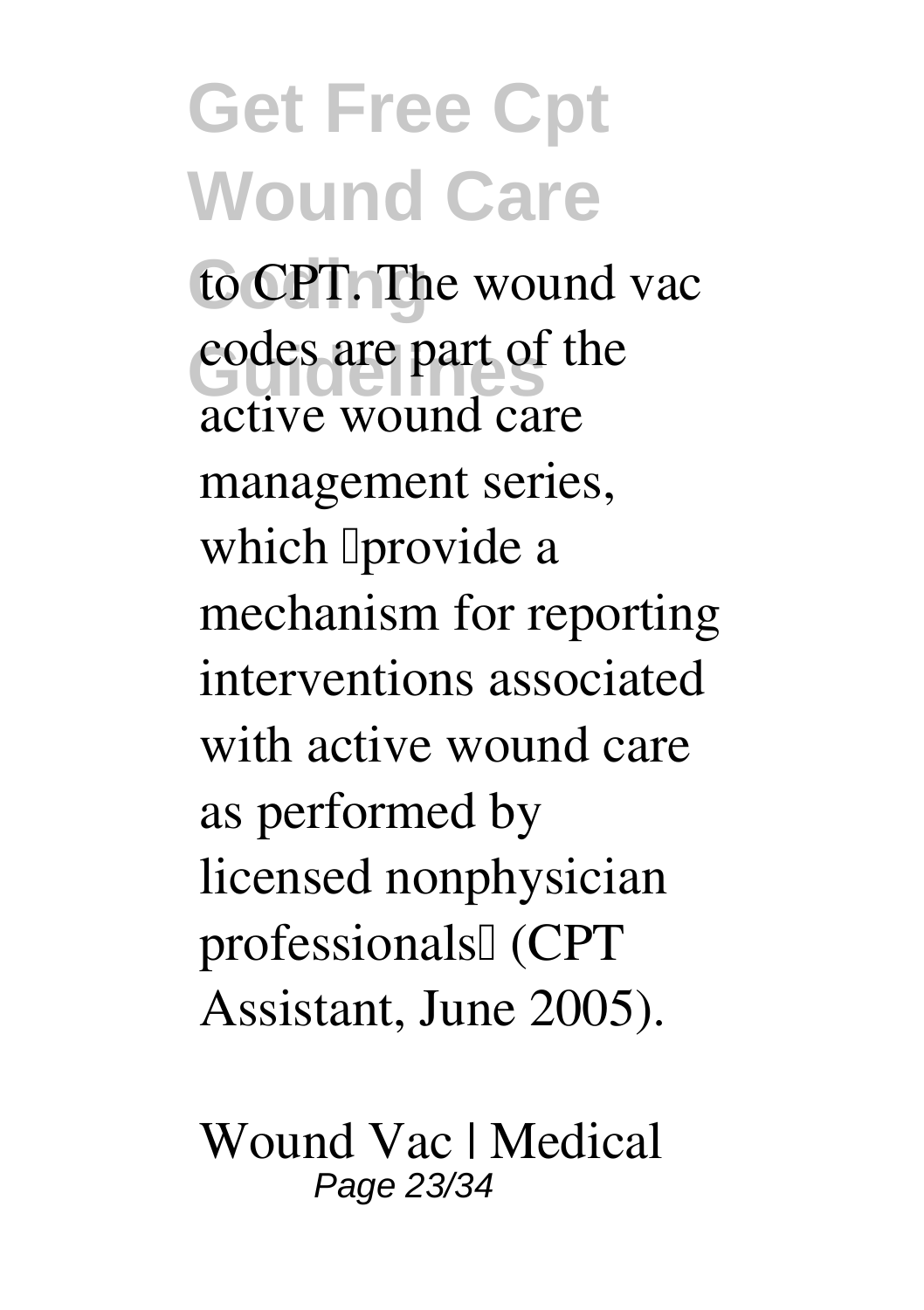to CPT. The wound vac codes are part of the active wound care management series, which *I* provide a mechanism for reporting interventions associated with active wound care as performed by licensed nonphysician professionals<sup>[]</sup> (CPT Assistant, June 2005).

**Wound Vac | Medical** Page 23/34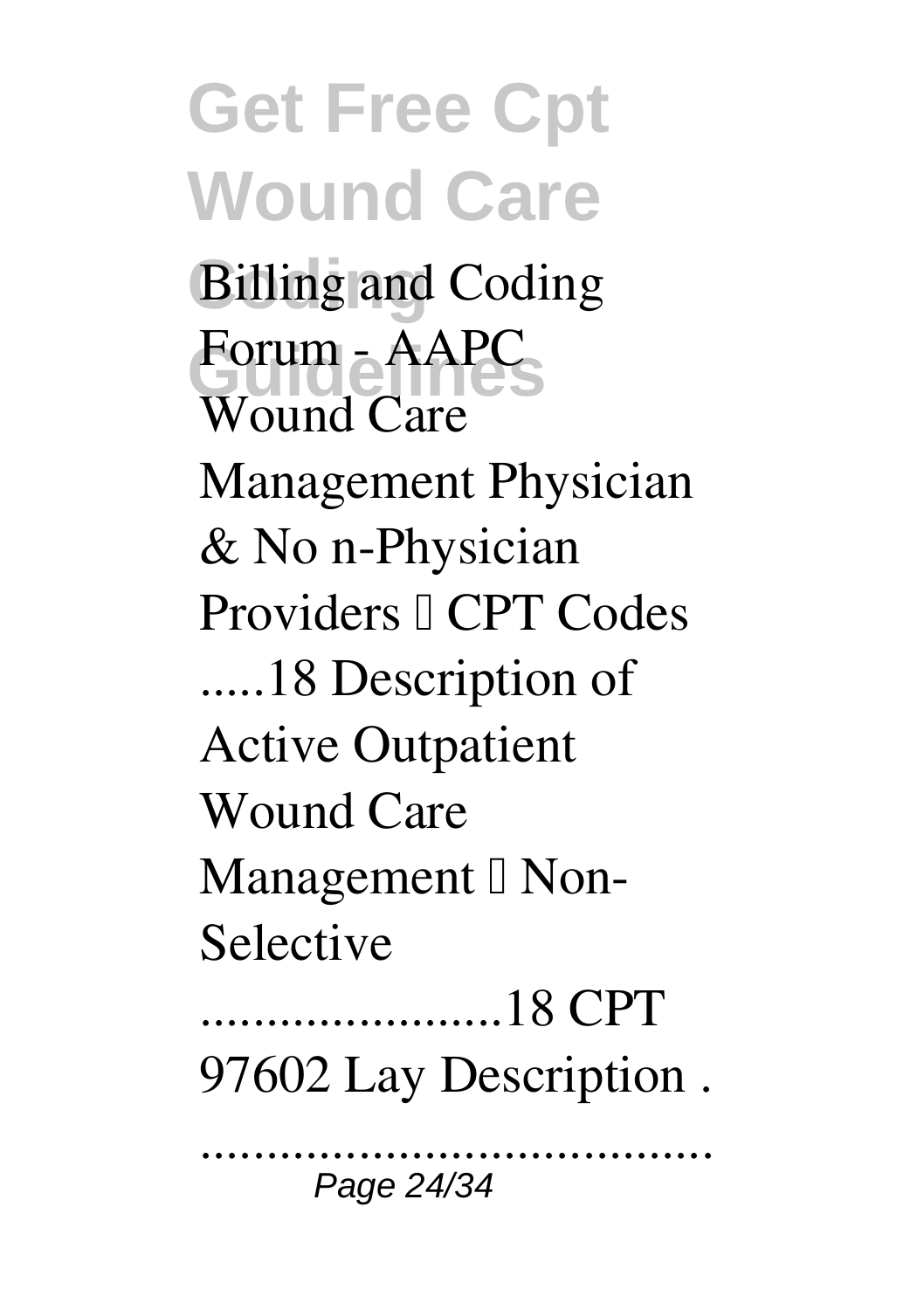**Get Free Cpt Wound Care Coding Billing and Coding**  $\frac{F}{2}$  **AAPC** Wound Care Management Physician & No n-Physician Providers <sup>[]</sup> CPT Codes .....18 Description of Active Outpatient Wound Care Management  $\mathbb I$  Non-Selective .......................18 CPT 97602 Lay Description . .......................................

Page 24/34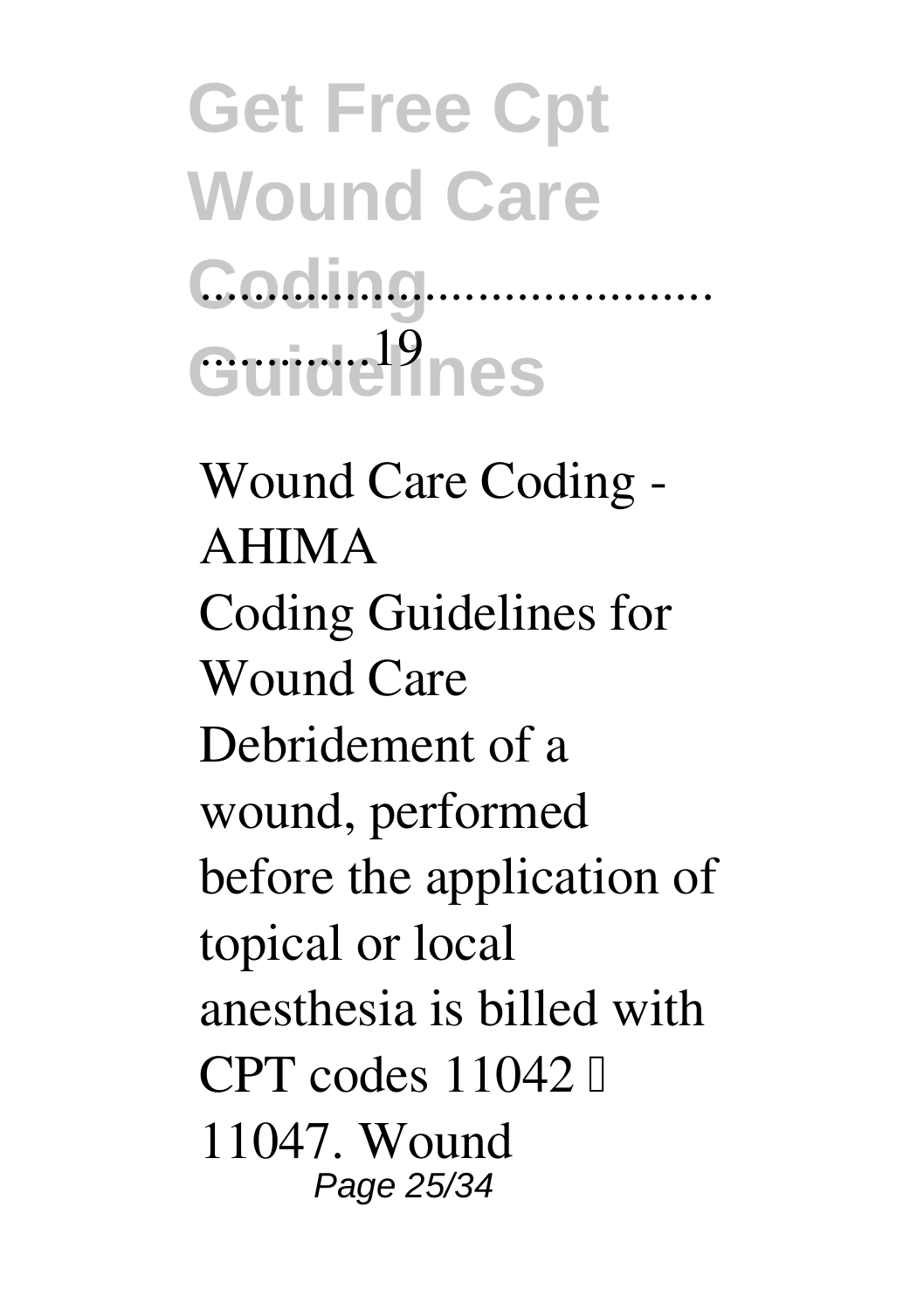### **Get Free Cpt Wound Care Coding** ....................................... Guide<sup>l</sup>ines

**Wound Care Coding - AHIMA** Coding Guidelines for Wound Care Debridement of a wound, performed before the application of topical or local anesthesia is billed with CPT codes  $11042$   $\Box$ 11047. Wound Page 25/34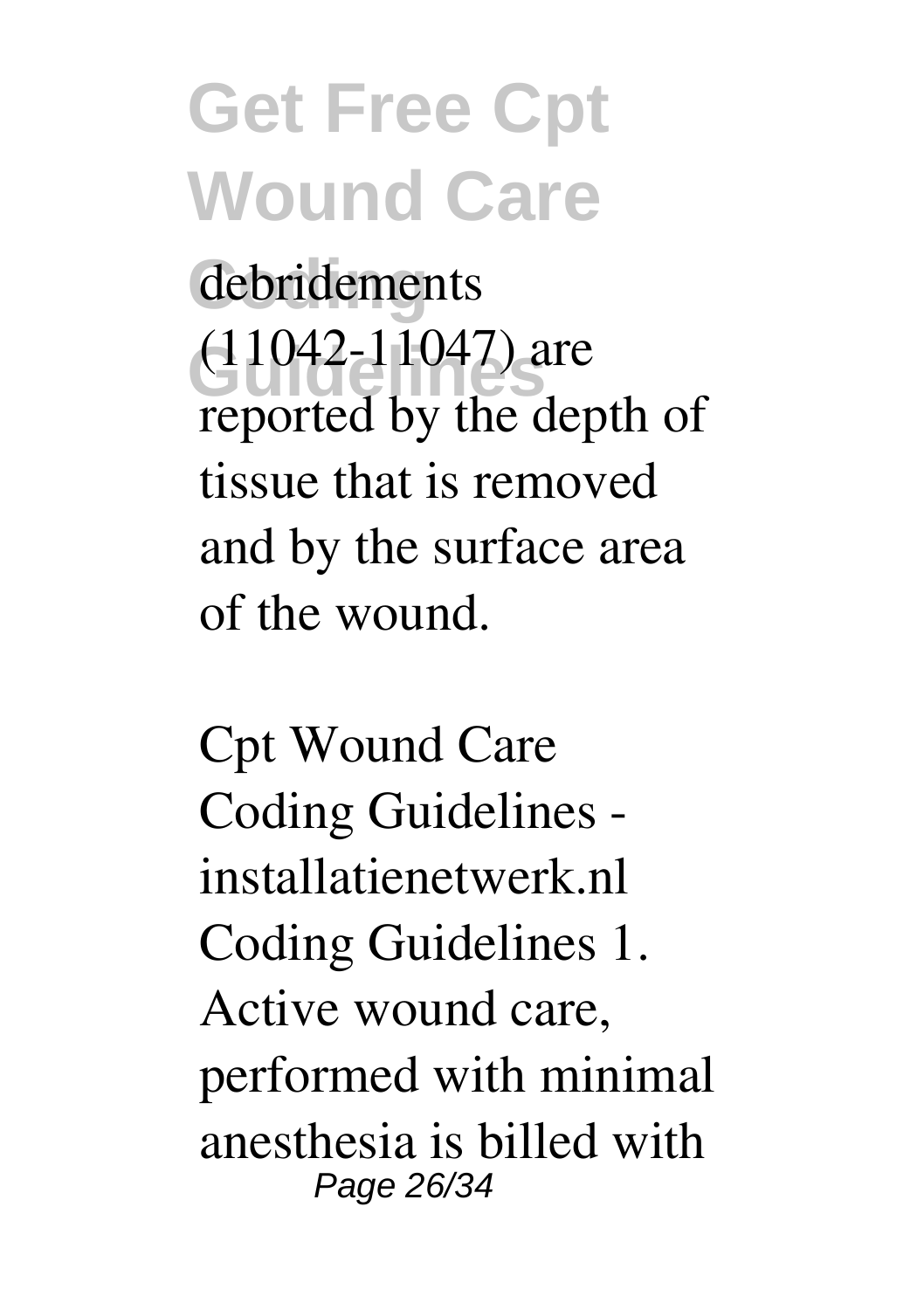debridements **Guidelines** (11042-11047) are reported by the depth of tissue that is removed and by the surface area of the wound.

**Cpt Wound Care Coding Guidelines installatienetwerk.nl** Coding Guidelines 1. Active wound care, performed with minimal anesthesia is billed with Page 26/34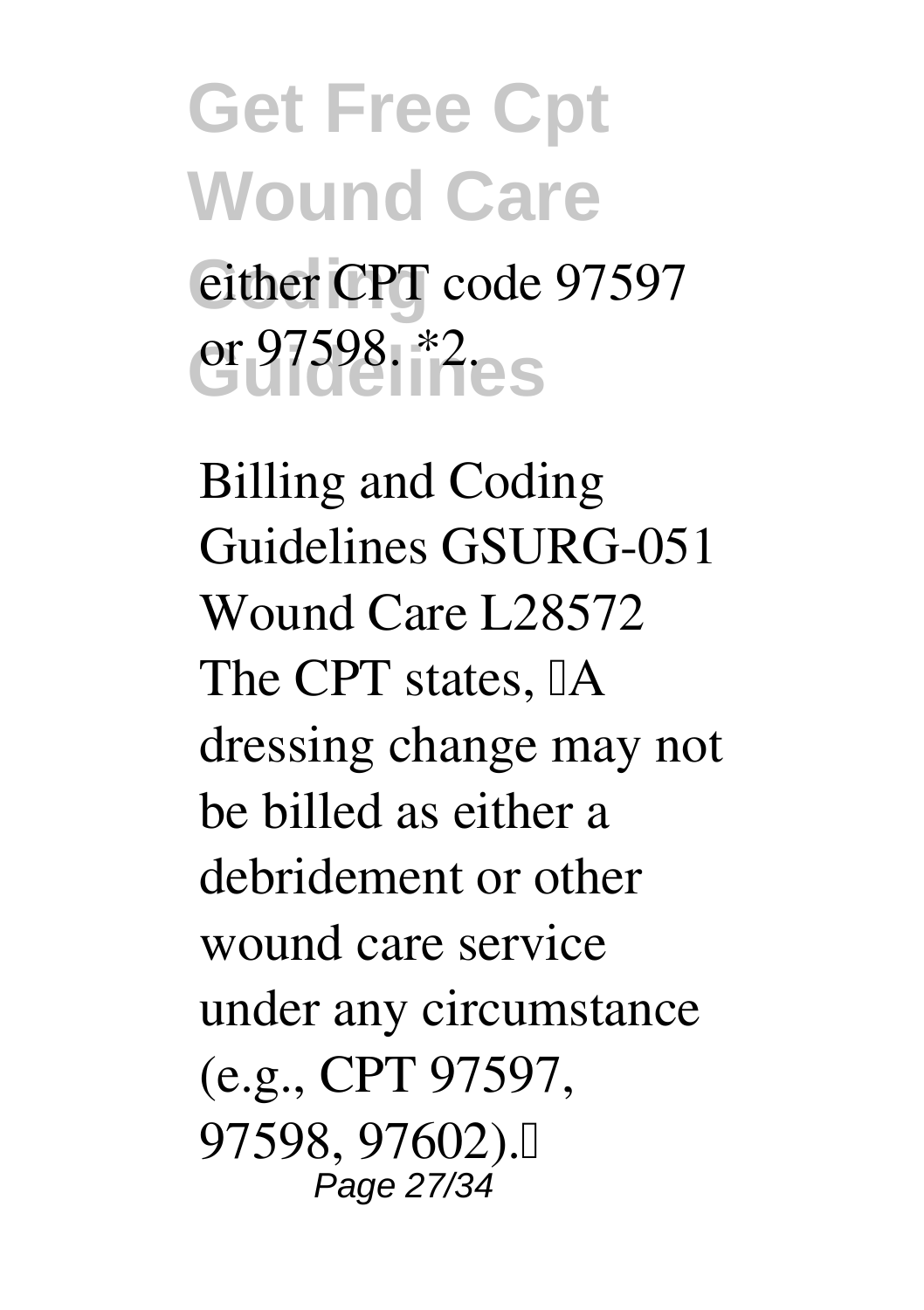### **Get Free Cpt Wound Care** either CPT code 97597 **Guidelines** or 97598. \*2.

**Billing and Coding Guidelines GSURG-051 Wound Care L28572** The CPT states,  $\mathbb{I}$ A dressing change may not be billed as either a debridement or other wound care service under any circumstance (e.g., CPT 97597, 97598, 97602)." Page 27/34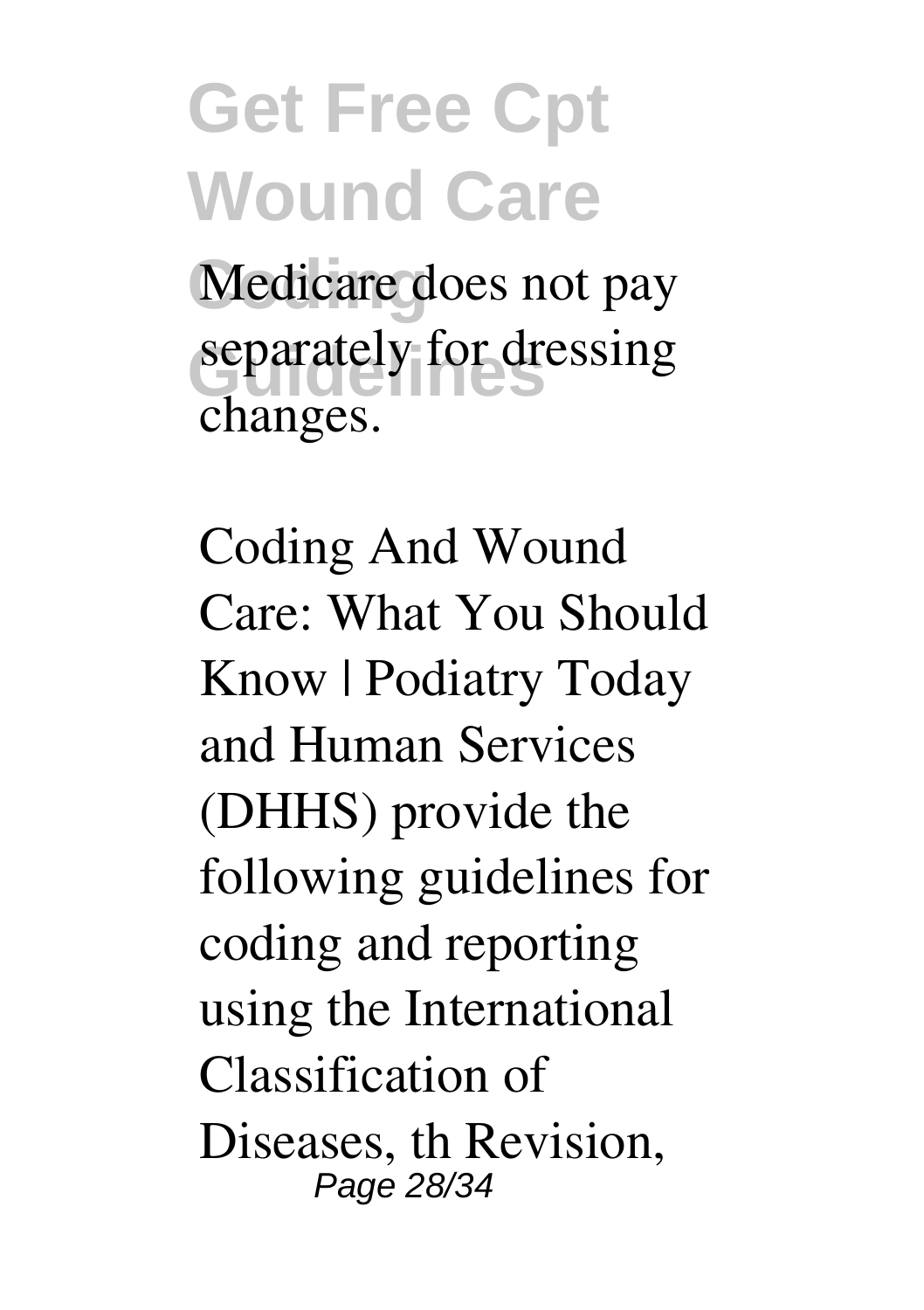**Get Free Cpt Wound Care** Medicare does not pay separately for dressing changes.

**Coding And Wound Care: What You Should Know | Podiatry Today** and Human Services (DHHS) provide the following guidelines for coding and reporting using the International Classification of Diseases, th Revision, Page 28/34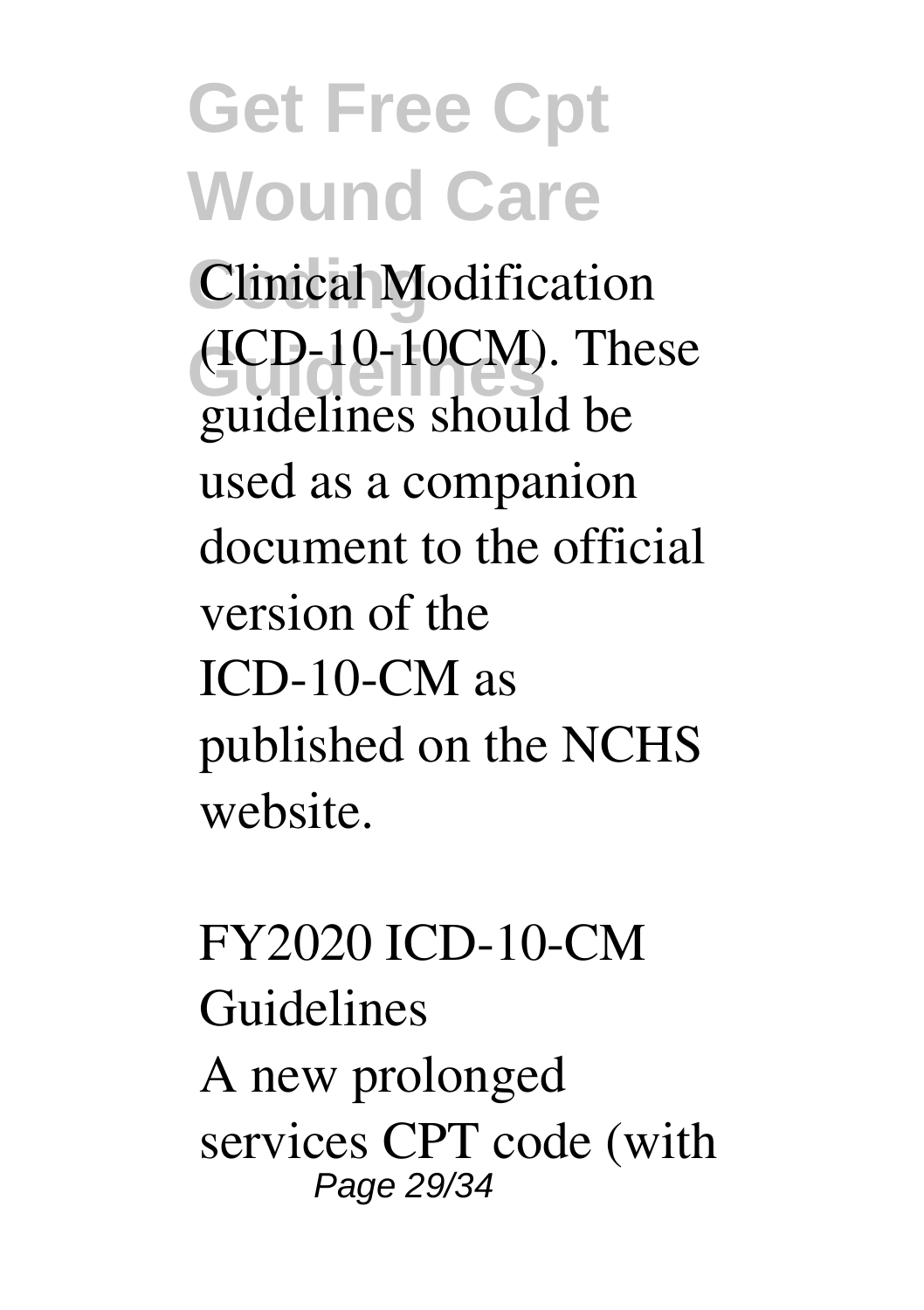**Clinical Modification**  $(ICD-10-10CM)$ . These guidelines should be used as a companion document to the official version of the ICD-10-CM as published on the NCHS website.

**FY2020 ICD-10-CM Guidelines** A new prolonged services CPT code (with Page 29/34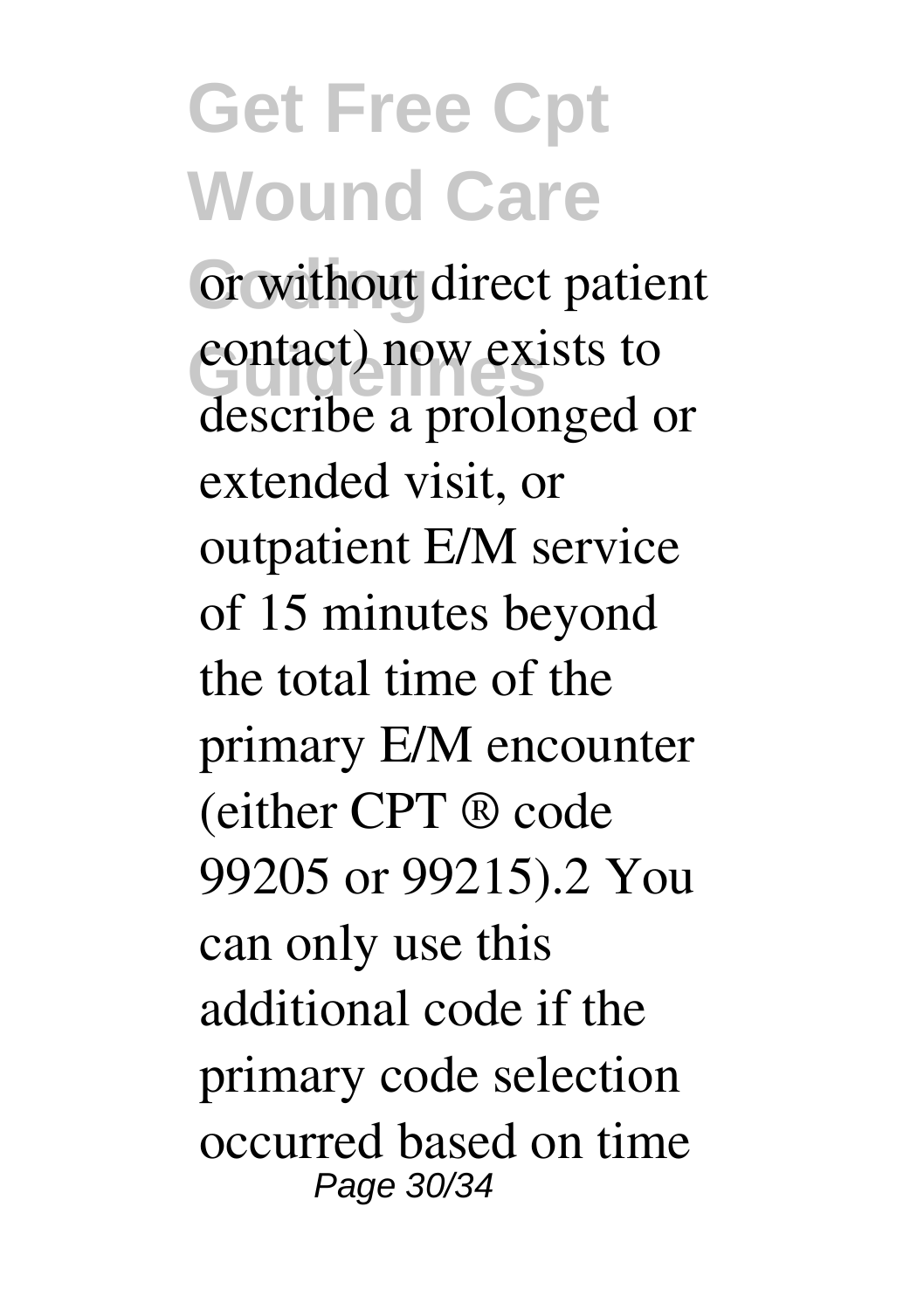or without direct patient contact) now exists to describe a prolonged or extended visit, or outpatient E/M service of 15 minutes beyond the total time of the primary E/M encounter (either CPT ® code 99205 or 99215).2 You can only use this additional code if the primary code selection occurred based on time Page 30/34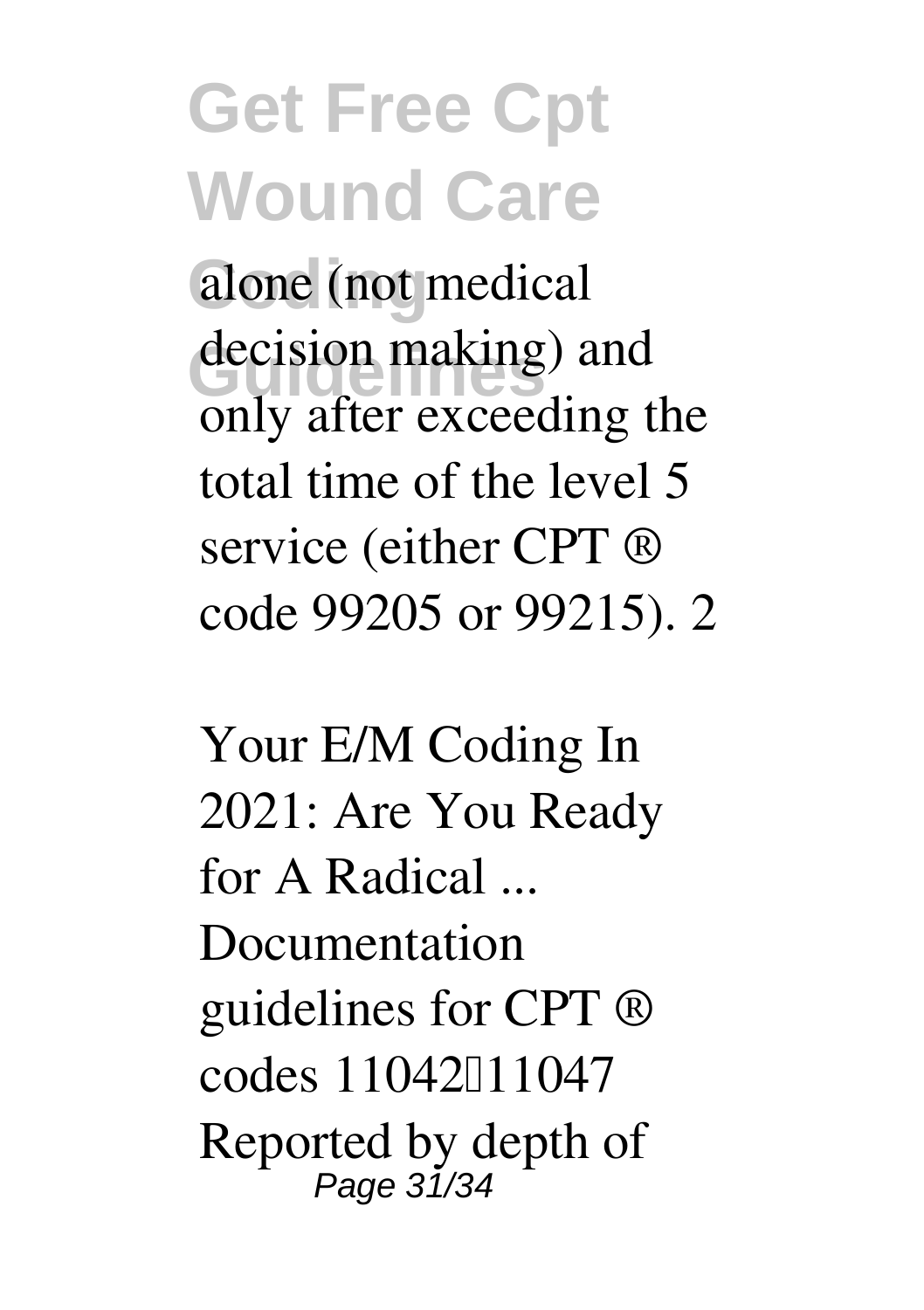alone (not medical decision making) and only after exceeding the total time of the level 5 service (either CPT ® code 99205 or 99215). 2

**Your E/M Coding In 2021: Are You Ready for A Radical ...** Documentation guidelines for CPT ® codes 11042<sup>[11047]</sup> Reported by depth of Page 31/34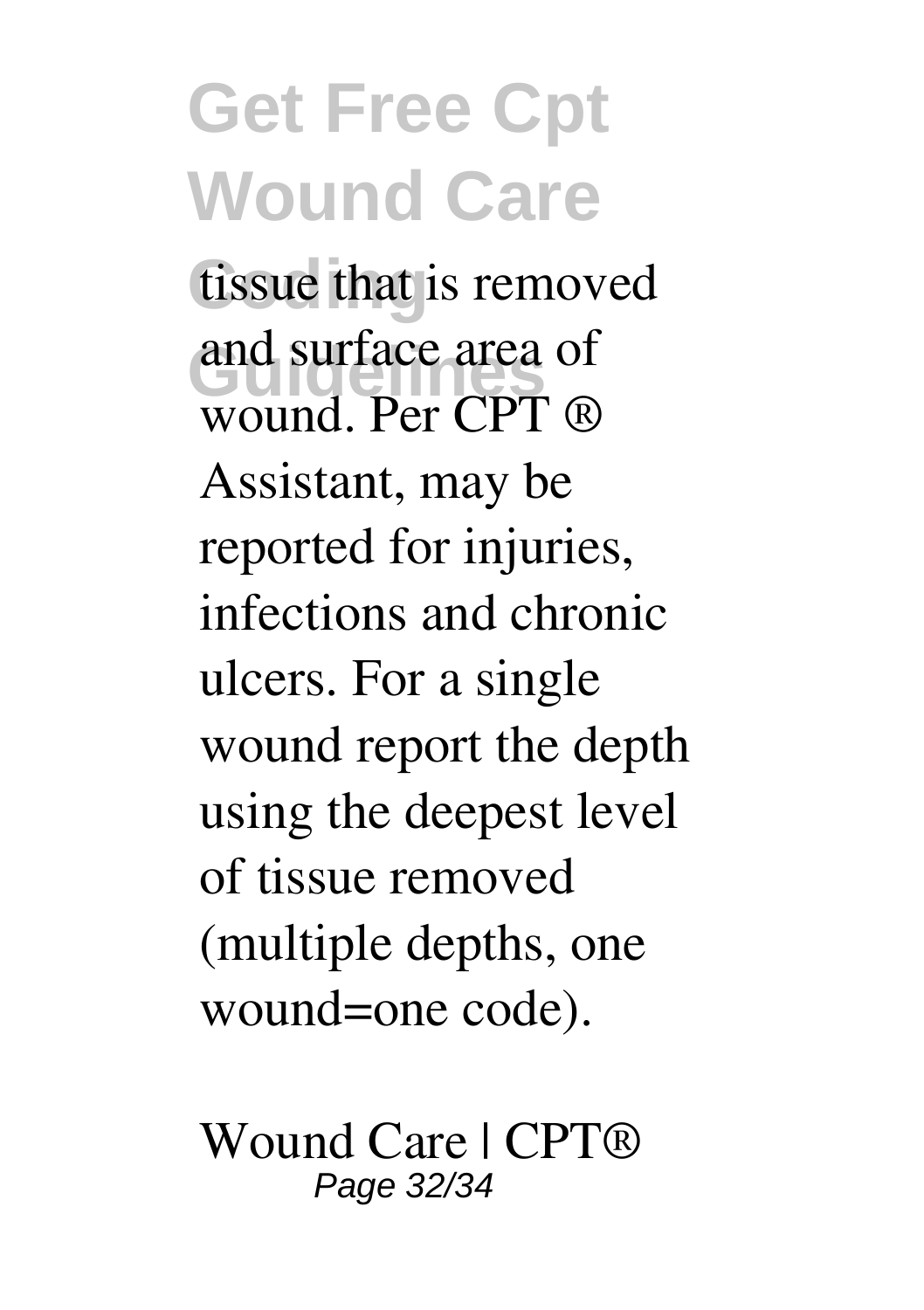tissue that is removed and surface area of wound. Per CPT ® Assistant, may be reported for injuries, infections and chronic ulcers. For a single wound report the depth using the deepest level of tissue removed (multiple depths, one wound=one code).

**Wound Care | CPT®** Page 32/34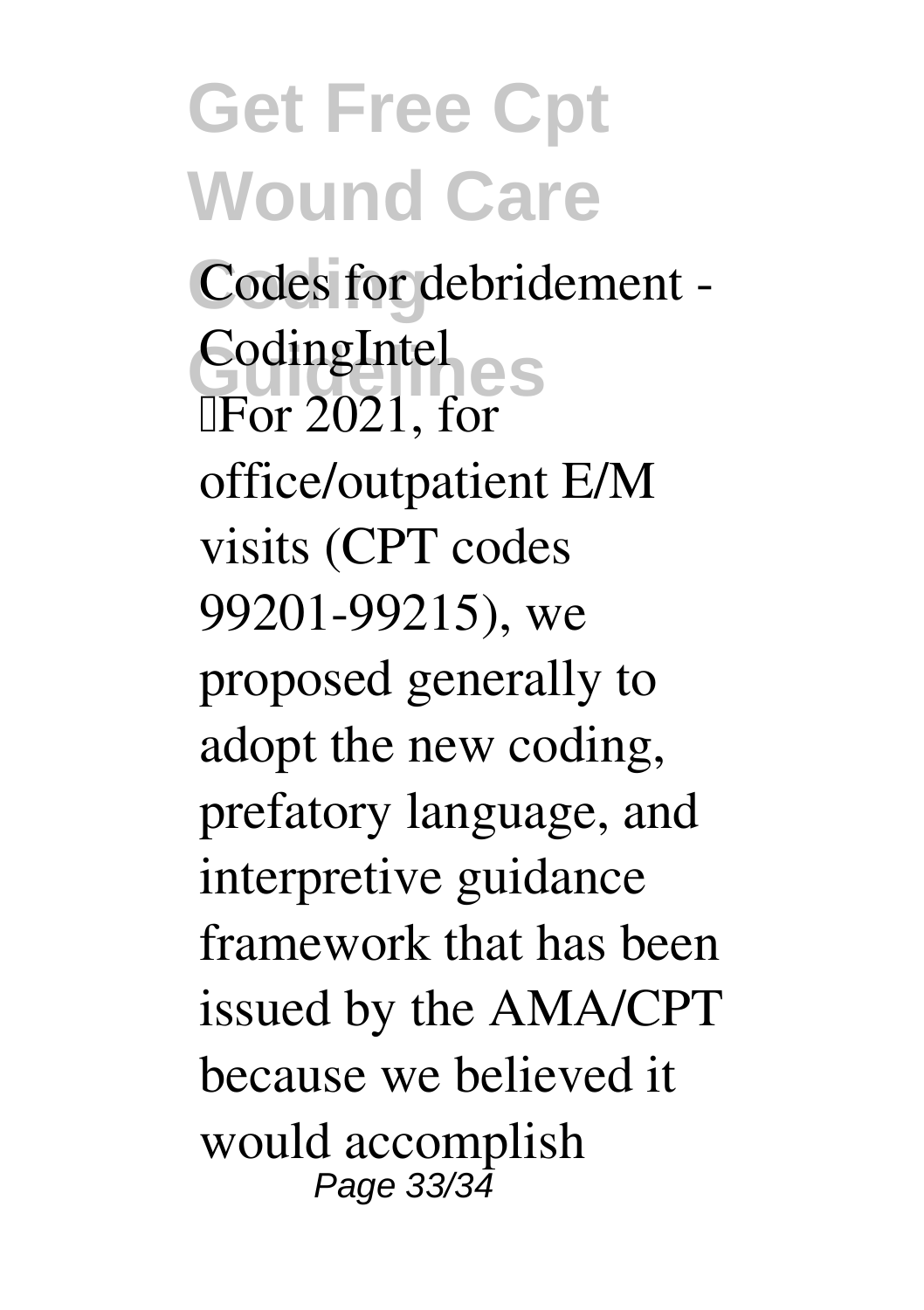Codes for debridement -**Guidelines CodingIntel**  $\sqrt{P}$  For 2021, for office/outpatient E/M visits (CPT codes 99201-99215), we proposed generally to adopt the new coding, prefatory language, and interpretive guidance framework that has been issued by the AMA/CPT because we believed it would accomplish Page 33/34